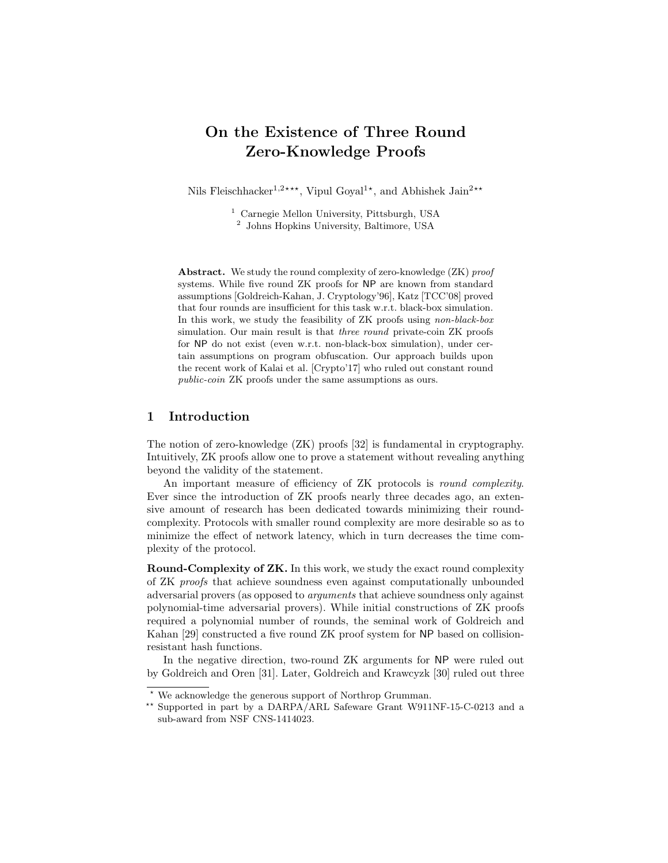# On the Existence of Three Round Zero-Knowledge Proofs

Nils Fleischhacker<sup>1,2\*\*\*</sup>, Vipul Goyal<sup>1\*</sup>, and Abhishek Jain<sup>2\*\*</sup>

<sup>1</sup> Carnegie Mellon University, Pittsburgh, USA 2 Johns Hopkins University, Baltimore, USA

Abstract. We study the round complexity of zero-knowledge (ZK) proof systems. While five round ZK proofs for NP are known from standard assumptions [Goldreich-Kahan, J. Cryptology'96], Katz [TCC'08] proved that four rounds are insufficient for this task w.r.t. black-box simulation. In this work, we study the feasibility of ZK proofs using *non-black-box* simulation. Our main result is that *three round* private-coin ZK proofs for NP do not exist (even w.r.t. non-black-box simulation), under certain assumptions on program obfuscation. Our approach builds upon the recent work of Kalai et al. [Crypto'17] who ruled out constant round public-coin ZK proofs under the same assumptions as ours.

# <span id="page-0-0"></span>1 Introduction

The notion of zero-knowledge (ZK) proofs [\[32\]](#page-29-0) is fundamental in cryptography. Intuitively, ZK proofs allow one to prove a statement without revealing anything beyond the validity of the statement.

An important measure of efficiency of ZK protocols is *round complexity*. Ever since the introduction of ZK proofs nearly three decades ago, an extensive amount of research has been dedicated towards minimizing their roundcomplexity. Protocols with smaller round complexity are more desirable so as to minimize the effect of network latency, which in turn decreases the time complexity of the protocol.

Round-Complexity of ZK. In this work, we study the exact round complexity of ZK proofs that achieve soundness even against computationally unbounded adversarial provers (as opposed to arguments that achieve soundness only against polynomial-time adversarial provers). While initial constructions of ZK proofs required a polynomial number of rounds, the seminal work of Goldreich and Kahan [\[29\]](#page-28-0) constructed a five round ZK proof system for NP based on collisionresistant hash functions.

In the negative direction, two-round ZK arguments for NP were ruled out by Goldreich and Oren [\[31\]](#page-28-1). Later, Goldreich and Krawcyzk [\[30\]](#page-28-2) ruled out three

<sup>?</sup> We acknowledge the generous support of Northrop Grumman.

 $^{**}$  Supported in part by a DARPA/ARL Safeware Grant W911NF-15-C-0213 and a sub-award from NSF CNS-1414023.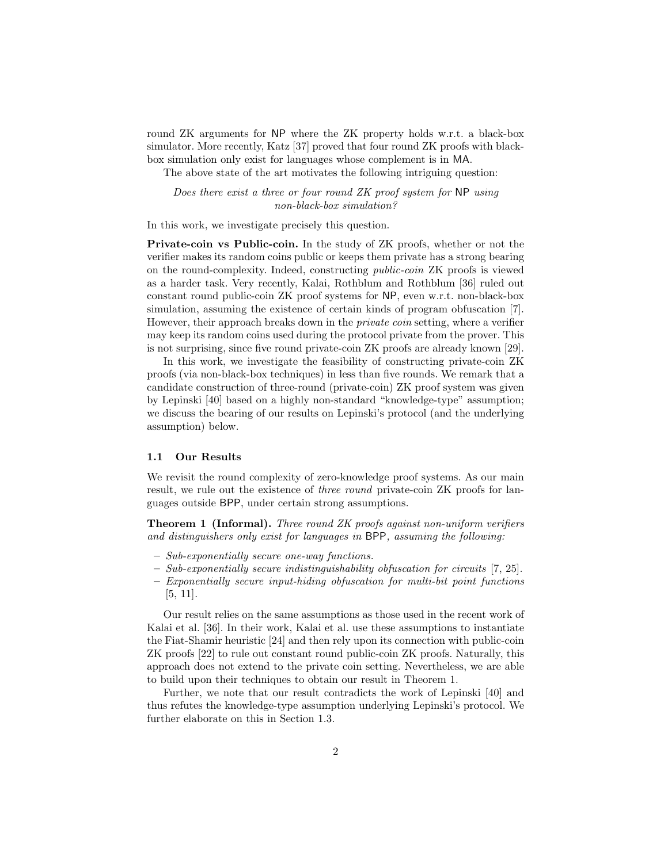round ZK arguments for NP where the ZK property holds w.r.t. a black-box simulator. More recently, Katz [\[37\]](#page-29-1) proved that four round ZK proofs with blackbox simulation only exist for languages whose complement is in MA.

The above state of the art motivates the following intriguing question:

Does there exist a three or four round ZK proof system for NP using non-black-box simulation?

In this work, we investigate precisely this question.

Private-coin vs Public-coin. In the study of ZK proofs, whether or not the verifier makes its random coins public or keeps them private has a strong bearing on the round-complexity. Indeed, constructing public-coin ZK proofs is viewed as a harder task. Very recently, Kalai, Rothblum and Rothblum [\[36\]](#page-29-2) ruled out constant round public-coin ZK proof systems for NP, even w.r.t. non-black-box simulation, assuming the existence of certain kinds of program obfuscation [\[7\]](#page-27-0). However, their approach breaks down in the private coin setting, where a verifier may keep its random coins used during the protocol private from the prover. This is not surprising, since five round private-coin ZK proofs are already known [\[29\]](#page-28-0).

In this work, we investigate the feasibility of constructing private-coin ZK proofs (via non-black-box techniques) in less than five rounds. We remark that a candidate construction of three-round (private-coin) ZK proof system was given by Lepinski [\[40\]](#page-29-3) based on a highly non-standard "knowledge-type" assumption; we discuss the bearing of our results on Lepinski's protocol (and the underlying assumption) below.

## 1.1 Our Results

We revisit the round complexity of zero-knowledge proof systems. As our main result, we rule out the existence of *three round* private-coin ZK proofs for languages outside BPP, under certain strong assumptions.

<span id="page-1-0"></span>Theorem 1 (Informal). Three round ZK proofs against non-uniform verifiers and distinguishers only exist for languages in BPP, assuming the following:

- Sub-exponentially secure one-way functions.
- Sub-exponentially secure indistinguishability obfuscation for circuits [\[7,](#page-27-0) [25\]](#page-28-3).
- Exponentially secure input-hiding obfuscation for multi-bit point functions [\[5,](#page-27-1) [11\]](#page-27-2).

Our result relies on the same assumptions as those used in the recent work of Kalai et al. [\[36\]](#page-29-2). In their work, Kalai et al. use these assumptions to instantiate the Fiat-Shamir heuristic [\[24\]](#page-28-4) and then rely upon its connection with public-coin ZK proofs [\[22\]](#page-28-5) to rule out constant round public-coin ZK proofs. Naturally, this approach does not extend to the private coin setting. Nevertheless, we are able to build upon their techniques to obtain our result in Theorem [1.](#page-1-0)

Further, we note that our result contradicts the work of Lepinski [\[40\]](#page-29-3) and thus refutes the knowledge-type assumption underlying Lepinski's protocol. We further elaborate on this in [Section 1.3.](#page-7-0)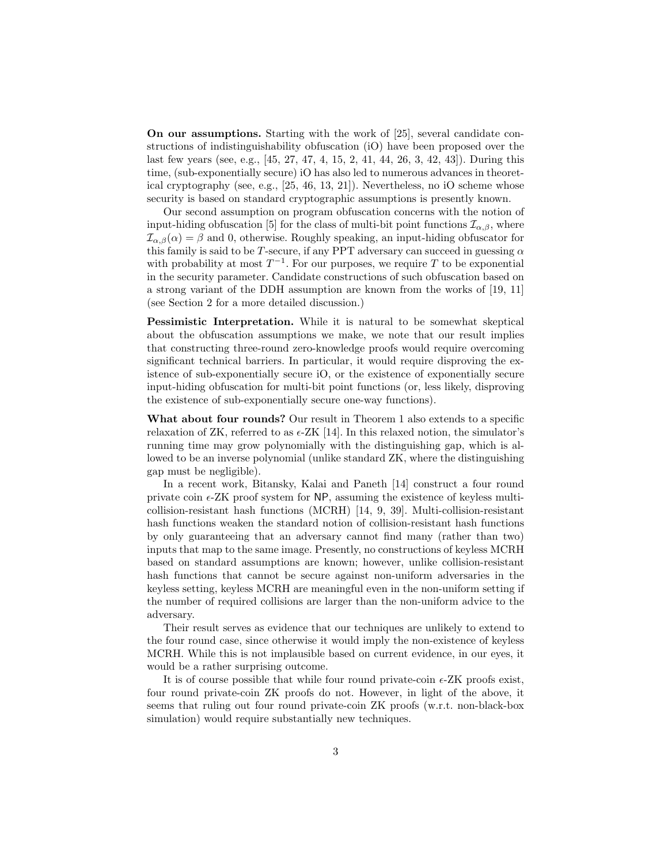On our assumptions. Starting with the work of [\[25\]](#page-28-3), several candidate constructions of indistinguishability obfuscation (iO) have been proposed over the last few years (see, e.g., [\[45,](#page-30-0) [27,](#page-28-6) [47,](#page-30-1) [4,](#page-27-3) [15,](#page-27-4) [2,](#page-26-0) [41,](#page-29-4) [44,](#page-29-5) [26,](#page-28-7) [3,](#page-26-1) [42,](#page-29-6) [43\]](#page-29-7)). During this time, (sub-exponentially secure) iO has also led to numerous advances in theoretical cryptography (see, e.g., [\[25,](#page-28-3) [46,](#page-30-2) [13,](#page-27-5) [21\]](#page-28-8)). Nevertheless, no iO scheme whose security is based on standard cryptographic assumptions is presently known.

Our second assumption on program obfuscation concerns with the notion of input-hiding obfuscation [\[5\]](#page-27-1) for the class of multi-bit point functions  $\mathcal{I}_{\alpha,\beta}$ , where  $\mathcal{I}_{\alpha,\beta}(\alpha) = \beta$  and 0, otherwise. Roughly speaking, an input-hiding obfuscator for this family is said to be T-secure, if any PPT adversary can succeed in guessing  $\alpha$ with probability at most  $T^{-1}$ . For our purposes, we require T to be exponential in the security parameter. Candidate constructions of such obfuscation based on a strong variant of the DDH assumption are known from the works of [\[19,](#page-28-9) [11\]](#page-27-2) (see Section [2](#page-9-0) for a more detailed discussion.)

Pessimistic Interpretation. While it is natural to be somewhat skeptical about the obfuscation assumptions we make, we note that our result implies that constructing three-round zero-knowledge proofs would require overcoming significant technical barriers. In particular, it would require disproving the existence of sub-exponentially secure iO, or the existence of exponentially secure input-hiding obfuscation for multi-bit point functions (or, less likely, disproving the existence of sub-exponentially secure one-way functions).

What about four rounds? Our result in Theorem [1](#page-1-0) also extends to a specific relaxation of ZK, referred to as  $\epsilon$ -ZK [\[14\]](#page-27-6). In this relaxed notion, the simulator's running time may grow polynomially with the distinguishing gap, which is allowed to be an inverse polynomial (unlike standard ZK, where the distinguishing gap must be negligible).

In a recent work, Bitansky, Kalai and Paneth [\[14\]](#page-27-6) construct a four round private coin  $\epsilon$ -ZK proof system for NP, assuming the existence of keyless multicollision-resistant hash functions (MCRH) [\[14,](#page-27-6) [9,](#page-27-7) [39\]](#page-29-8). Multi-collision-resistant hash functions weaken the standard notion of collision-resistant hash functions by only guaranteeing that an adversary cannot find many (rather than two) inputs that map to the same image. Presently, no constructions of keyless MCRH based on standard assumptions are known; however, unlike collision-resistant hash functions that cannot be secure against non-uniform adversaries in the keyless setting, keyless MCRH are meaningful even in the non-uniform setting if the number of required collisions are larger than the non-uniform advice to the adversary.

Their result serves as evidence that our techniques are unlikely to extend to the four round case, since otherwise it would imply the non-existence of keyless MCRH. While this is not implausible based on current evidence, in our eyes, it would be a rather surprising outcome.

It is of course possible that while four round private-coin  $\epsilon$ -ZK proofs exist, four round private-coin ZK proofs do not. However, in light of the above, it seems that ruling out four round private-coin ZK proofs (w.r.t. non-black-box simulation) would require substantially new techniques.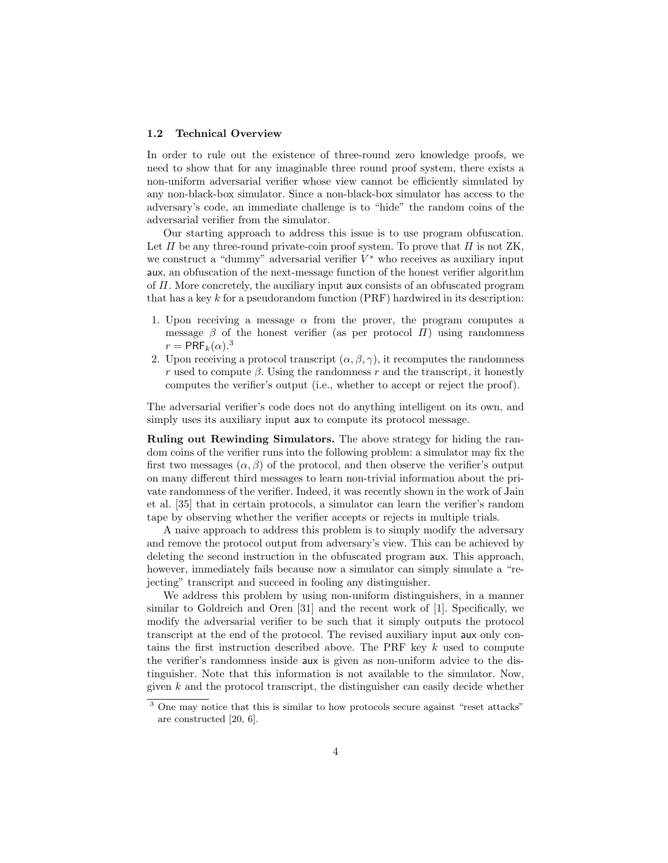#### 1.2 Technical Overview

In order to rule out the existence of three-round zero knowledge proofs, we need to show that for any imaginable three round proof system, there exists a non-uniform adversarial verifier whose view cannot be efficiently simulated by any non-black-box simulator. Since a non-black-box simulator has access to the adversary's code, an immediate challenge is to "hide" the random coins of the adversarial verifier from the simulator.

Our starting approach to address this issue is to use program obfuscation. Let  $\Pi$  be any three-round private-coin proof system. To prove that  $\Pi$  is not ZK, we construct a "dummy" adversarial verifier  $V^*$  who receives as auxiliary input aux, an obfuscation of the next-message function of the honest verifier algorithm of Π. More concretely, the auxiliary input aux consists of an obfuscated program that has a key  $k$  for a pseudorandom function  $(PRF)$  hardwired in its description:

- 1. Upon receiving a message  $\alpha$  from the prover, the program computes a message  $\beta$  of the honest verifier (as per protocol  $\Pi$ ) using randomness  $r = \mathsf{PRF}_k(\alpha)$ <sup>[3](#page-3-0)</sup>
- <span id="page-3-1"></span>2. Upon receiving a protocol transcript  $(\alpha, \beta, \gamma)$ , it recomputes the randomness r used to compute  $\beta$ . Using the randomness r and the transcript, it honestly computes the verifier's output (i.e., whether to accept or reject the proof).

The adversarial verifier's code does not do anything intelligent on its own, and simply uses its auxiliary input aux to compute its protocol message.

Ruling out Rewinding Simulators. The above strategy for hiding the random coins of the verifier runs into the following problem: a simulator may fix the first two messages  $(\alpha, \beta)$  of the protocol, and then observe the verifier's output on many different third messages to learn non-trivial information about the private randomness of the verifier. Indeed, it was recently shown in the work of Jain et al. [\[35\]](#page-29-9) that in certain protocols, a simulator can learn the verifier's random tape by observing whether the verifier accepts or rejects in multiple trials.

A naive approach to address this problem is to simply modify the adversary and remove the protocol output from adversary's view. This can be achieved by deleting the second instruction in the obfuscated program aux. This approach, however, immediately fails because now a simulator can simply simulate a "rejecting" transcript and succeed in fooling any distinguisher.

We address this problem by using non-uniform distinguishers, in a manner similar to Goldreich and Oren [\[31\]](#page-28-1) and the recent work of [\[1\]](#page-26-2). Specifically, we modify the adversarial verifier to be such that it simply outputs the protocol transcript at the end of the protocol. The revised auxiliary input aux only contains the first instruction described above. The PRF key  $k$  used to compute the verifier's randomness inside aux is given as non-uniform advice to the distinguisher. Note that this information is not available to the simulator. Now, given  $k$  and the protocol transcript, the distinguisher can easily decide whether

<span id="page-3-0"></span><sup>&</sup>lt;sup>3</sup> One may notice that this is similar to how protocols secure against "reset attacks" are constructed [\[20,](#page-28-10) [6\]](#page-27-8).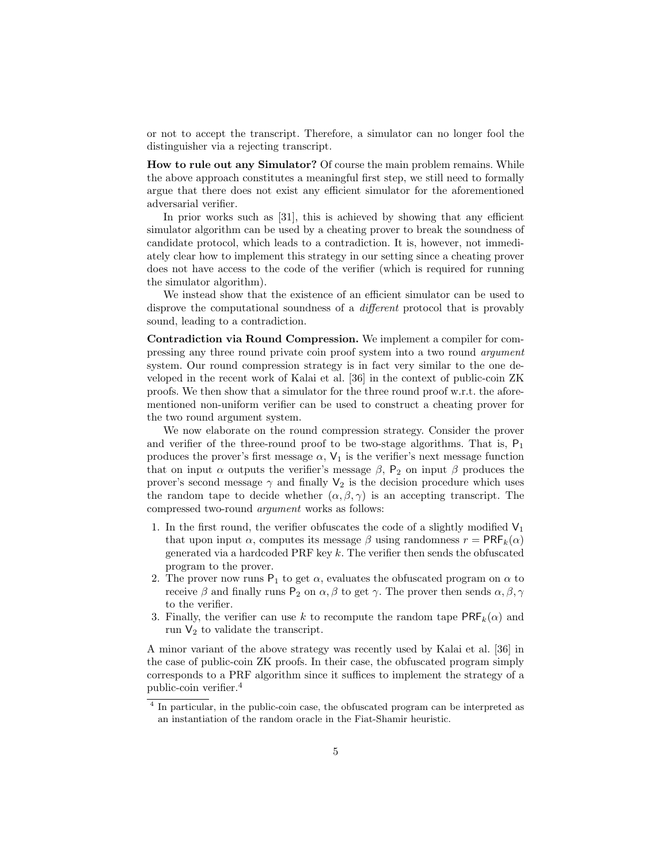or not to accept the transcript. Therefore, a simulator can no longer fool the distinguisher via a rejecting transcript.

How to rule out any Simulator? Of course the main problem remains. While the above approach constitutes a meaningful first step, we still need to formally argue that there does not exist any efficient simulator for the aforementioned adversarial verifier.

In prior works such as [\[31\]](#page-28-1), this is achieved by showing that any efficient simulator algorithm can be used by a cheating prover to break the soundness of candidate protocol, which leads to a contradiction. It is, however, not immediately clear how to implement this strategy in our setting since a cheating prover does not have access to the code of the verifier (which is required for running the simulator algorithm).

We instead show that the existence of an efficient simulator can be used to disprove the computational soundness of a different protocol that is provably sound, leading to a contradiction.

Contradiction via Round Compression. We implement a compiler for compressing any three round private coin proof system into a two round argument system. Our round compression strategy is in fact very similar to the one developed in the recent work of Kalai et al. [\[36\]](#page-29-2) in the context of public-coin ZK proofs. We then show that a simulator for the three round proof w.r.t. the aforementioned non-uniform verifier can be used to construct a cheating prover for the two round argument system.

We now elaborate on the round compression strategy. Consider the prover and verifier of the three-round proof to be two-stage algorithms. That is,  $P_1$ produces the prover's first message  $\alpha$ ,  $V_1$  is the verifier's next message function that on input  $\alpha$  outputs the verifier's message  $\beta$ , P<sub>2</sub> on input  $\beta$  produces the prover's second message  $\gamma$  and finally  $V_2$  is the decision procedure which uses the random tape to decide whether  $(\alpha, \beta, \gamma)$  is an accepting transcript. The compressed two-round argument works as follows:

- 1. In the first round, the verifier obfuscates the code of a slightly modified  $V_1$ that upon input  $\alpha$ , computes its message  $\beta$  using randomness  $r = \text{PRF}_k(\alpha)$ generated via a hardcoded PRF key k. The verifier then sends the obfuscated program to the prover.
- 2. The prover now runs  $P_1$  to get  $\alpha$ , evaluates the obfuscated program on  $\alpha$  to receive  $\beta$  and finally runs P<sub>2</sub> on  $\alpha$ ,  $\beta$  to get  $\gamma$ . The prover then sends  $\alpha$ ,  $\beta$ ,  $\gamma$ to the verifier.
- <span id="page-4-1"></span>3. Finally, the verifier can use k to recompute the random tape  $\mathsf{PRF}_k(\alpha)$  and run  $V_2$  to validate the transcript.

A minor variant of the above strategy was recently used by Kalai et al. [\[36\]](#page-29-2) in the case of public-coin ZK proofs. In their case, the obfuscated program simply corresponds to a PRF algorithm since it suffices to implement the strategy of a public-coin verifier.[4](#page-4-0)

<span id="page-4-0"></span><sup>&</sup>lt;sup>4</sup> In particular, in the public-coin case, the obfuscated program can be interpreted as an instantiation of the random oracle in the Fiat-Shamir heuristic.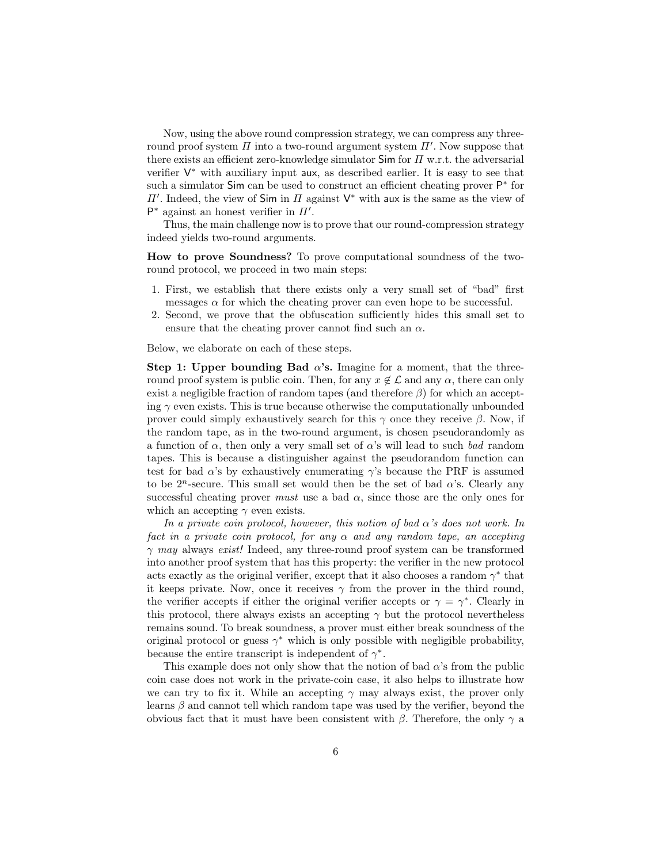Now, using the above round compression strategy, we can compress any threeround proof system  $\Pi$  into a two-round argument system  $\Pi'$ . Now suppose that there exists an efficient zero-knowledge simulator  $\mathsf{Sim}$  for  $\Pi$  w.r.t. the adversarial verifier  $V^*$  with auxiliary input aux, as described earlier. It is easy to see that such a simulator  $Sim can be used to construct an efficient cheating prover  $P^*$  for$  $\Pi'$ . Indeed, the view of Sim in  $\Pi$  against  $V^*$  with aux is the same as the view of  $P^*$  against an honest verifier in  $\Pi'$ .

Thus, the main challenge now is to prove that our round-compression strategy indeed yields two-round arguments.

How to prove Soundness? To prove computational soundness of the tworound protocol, we proceed in two main steps:

- 1. First, we establish that there exists only a very small set of "bad" first messages  $\alpha$  for which the cheating prover can even hope to be successful.
- <span id="page-5-0"></span>2. Second, we prove that the obfuscation sufficiently hides this small set to ensure that the cheating prover cannot find such an  $\alpha$ .

Below, we elaborate on each of these steps.

Step 1: Upper bounding Bad  $\alpha$ 's. Imagine for a moment, that the threeround proof system is public coin. Then, for any  $x \notin \mathcal{L}$  and any  $\alpha$ , there can only exist a negligible fraction of random tapes (and therefore  $\beta$ ) for which an accepting  $\gamma$  even exists. This is true because otherwise the computationally unbounded prover could simply exhaustively search for this  $\gamma$  once they receive  $\beta$ . Now, if the random tape, as in the two-round argument, is chosen pseudorandomly as a function of  $\alpha$ , then only a very small set of  $\alpha$ 's will lead to such bad random tapes. This is because a distinguisher against the pseudorandom function can test for bad  $\alpha$ 's by exhaustively enumerating  $\gamma$ 's because the PRF is assumed to be  $2^n$ -secure. This small set would then be the set of bad  $\alpha$ 's. Clearly any successful cheating prover *must* use a bad  $\alpha$ , since those are the only ones for which an accepting  $\gamma$  even exists.

In a private coin protocol, however, this notion of bad  $\alpha$ 's does not work. In fact in a private coin protocol, for any  $\alpha$  and any random tape, an accepting  $\gamma$  may always exist! Indeed, any three-round proof system can be transformed into another proof system that has this property: the verifier in the new protocol acts exactly as the original verifier, except that it also chooses a random  $\gamma^*$  that it keeps private. Now, once it receives  $\gamma$  from the prover in the third round, the verifier accepts if either the original verifier accepts or  $\gamma = \gamma^*$ . Clearly in this protocol, there always exists an accepting  $\gamma$  but the protocol nevertheless remains sound. To break soundness, a prover must either break soundness of the original protocol or guess  $\gamma^*$  which is only possible with negligible probability, because the entire transcript is independent of  $\gamma^*$ .

This example does not only show that the notion of bad  $\alpha$ 's from the public coin case does not work in the private-coin case, it also helps to illustrate how we can try to fix it. While an accepting  $\gamma$  may always exist, the prover only learns  $\beta$  and cannot tell which random tape was used by the verifier, beyond the obvious fact that it must have been consistent with  $\beta$ . Therefore, the only  $\gamma$  a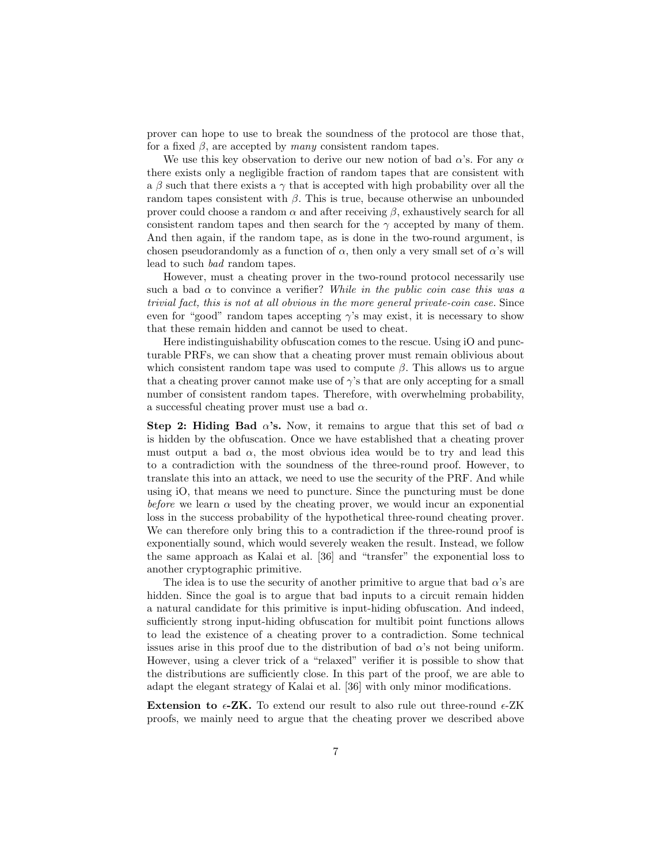prover can hope to use to break the soundness of the protocol are those that, for a fixed  $\beta$ , are accepted by many consistent random tapes.

We use this key observation to derive our new notion of bad  $\alpha$ 's. For any  $\alpha$ there exists only a negligible fraction of random tapes that are consistent with a β such that there exists a  $\gamma$  that is accepted with high probability over all the random tapes consistent with  $\beta$ . This is true, because otherwise an unbounded prover could choose a random  $\alpha$  and after receiving  $\beta$ , exhaustively search for all consistent random tapes and then search for the  $\gamma$  accepted by many of them. And then again, if the random tape, as is done in the two-round argument, is chosen pseudorandomly as a function of  $\alpha$ , then only a very small set of  $\alpha$ 's will lead to such bad random tapes.

However, must a cheating prover in the two-round protocol necessarily use such a bad  $\alpha$  to convince a verifier? While in the public coin case this was a trivial fact, this is not at all obvious in the more general private-coin case. Since even for "good" random tapes accepting  $\gamma$ 's may exist, it is necessary to show that these remain hidden and cannot be used to cheat.

Here indistinguishability obfuscation comes to the rescue. Using iO and puncturable PRFs, we can show that a cheating prover must remain oblivious about which consistent random tape was used to compute  $\beta$ . This allows us to argue that a cheating prover cannot make use of  $\gamma$ 's that are only accepting for a small number of consistent random tapes. Therefore, with overwhelming probability, a successful cheating prover must use a bad  $\alpha$ .

Step 2: Hiding Bad  $\alpha$ 's. Now, it remains to argue that this set of bad  $\alpha$ is hidden by the obfuscation. Once we have established that a cheating prover must output a bad  $\alpha$ , the most obvious idea would be to try and lead this to a contradiction with the soundness of the three-round proof. However, to translate this into an attack, we need to use the security of the PRF. And while using iO, that means we need to puncture. Since the puncturing must be done before we learn  $\alpha$  used by the cheating prover, we would incur an exponential loss in the success probability of the hypothetical three-round cheating prover. We can therefore only bring this to a contradiction if the three-round proof is exponentially sound, which would severely weaken the result. Instead, we follow the same approach as Kalai et al. [\[36\]](#page-29-2) and "transfer" the exponential loss to another cryptographic primitive.

The idea is to use the security of another primitive to argue that bad  $\alpha$ 's are hidden. Since the goal is to argue that bad inputs to a circuit remain hidden a natural candidate for this primitive is input-hiding obfuscation. And indeed, sufficiently strong input-hiding obfuscation for multibit point functions allows to lead the existence of a cheating prover to a contradiction. Some technical issues arise in this proof due to the distribution of bad  $\alpha$ 's not being uniform. However, using a clever trick of a "relaxed" verifier it is possible to show that the distributions are sufficiently close. In this part of the proof, we are able to adapt the elegant strategy of Kalai et al. [\[36\]](#page-29-2) with only minor modifications.

Extension to  $\epsilon$ -ZK. To extend our result to also rule out three-round  $\epsilon$ -ZK proofs, we mainly need to argue that the cheating prover we described above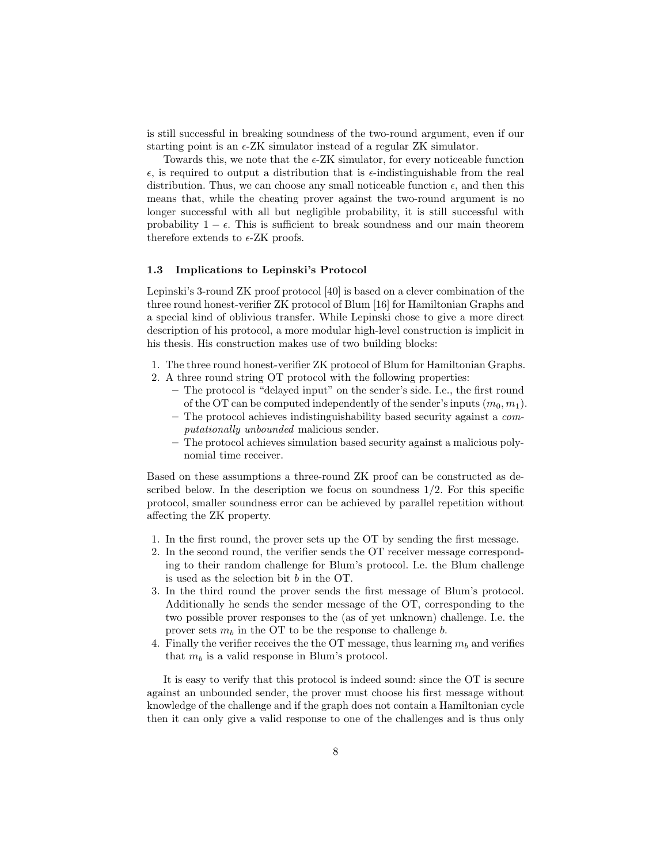is still successful in breaking soundness of the two-round argument, even if our starting point is an  $\epsilon$ -ZK simulator instead of a regular ZK simulator.

Towards this, we note that the  $\epsilon$ -ZK simulator, for every noticeable function  $\epsilon$ , is required to output a distribution that is  $\epsilon$ -indistinguishable from the real distribution. Thus, we can choose any small noticeable function  $\epsilon$ , and then this means that, while the cheating prover against the two-round argument is no longer successful with all but negligible probability, it is still successful with probability  $1 - \epsilon$ . This is sufficient to break soundness and our main theorem therefore extends to  $\epsilon$ -ZK proofs.

## <span id="page-7-0"></span>1.3 Implications to Lepinski's Protocol

Lepinski's 3-round ZK proof protocol [\[40\]](#page-29-3) is based on a clever combination of the three round honest-verifier ZK protocol of Blum [\[16\]](#page-27-9) for Hamiltonian Graphs and a special kind of oblivious transfer. While Lepinski chose to give a more direct description of his protocol, a more modular high-level construction is implicit in his thesis. His construction makes use of two building blocks:

- 1. The three round honest-verifier ZK protocol of Blum for Hamiltonian Graphs.
- 2. A three round string OT protocol with the following properties:
	- The protocol is "delayed input" on the sender's side. I.e., the first round of the OT can be computed independently of the sender's inputs  $(m_0, m_1)$ .
	- The protocol achieves indistinguishability based security against a computationally unbounded malicious sender.
	- The protocol achieves simulation based security against a malicious polynomial time receiver.

Based on these assumptions a three-round ZK proof can be constructed as described below. In the description we focus on soundness  $1/2$ . For this specific protocol, smaller soundness error can be achieved by parallel repetition without affecting the ZK property.

- 1. In the first round, the prover sets up the OT by sending the first message.
- 2. In the second round, the verifier sends the OT receiver message corresponding to their random challenge for Blum's protocol. I.e. the Blum challenge is used as the selection bit b in the OT.
- 3. In the third round the prover sends the first message of Blum's protocol. Additionally he sends the sender message of the OT, corresponding to the two possible prover responses to the (as of yet unknown) challenge. I.e. the prover sets  $m_b$  in the OT to be the response to challenge b.
- 4. Finally the verifier receives the the OT message, thus learning  $m_b$  and verifies that  $m_b$  is a valid response in Blum's protocol.

It is easy to verify that this protocol is indeed sound: since the OT is secure against an unbounded sender, the prover must choose his first message without knowledge of the challenge and if the graph does not contain a Hamiltonian cycle then it can only give a valid response to one of the challenges and is thus only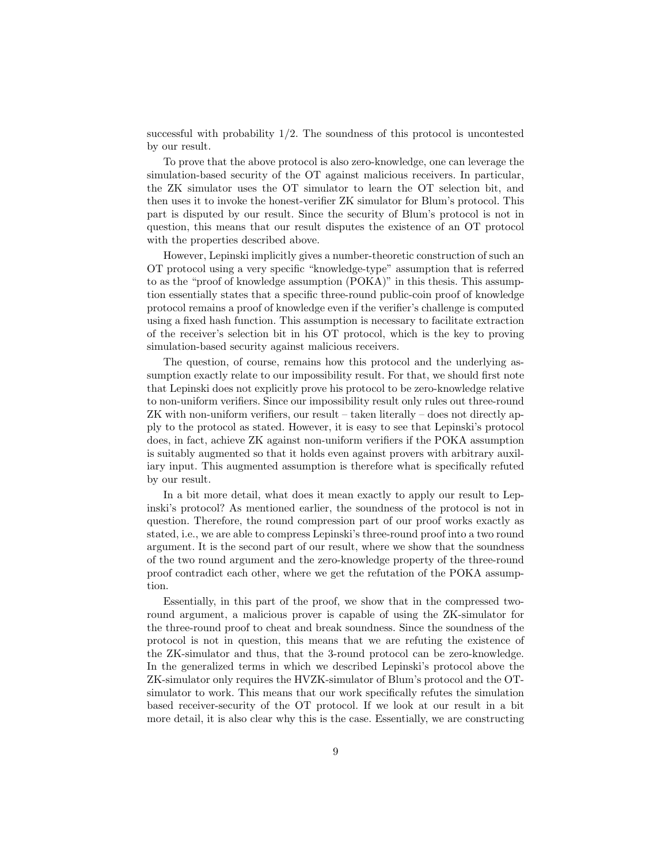successful with probability  $1/2$ . The soundness of this protocol is uncontested by our result.

To prove that the above protocol is also zero-knowledge, one can leverage the simulation-based security of the OT against malicious receivers. In particular, the ZK simulator uses the OT simulator to learn the OT selection bit, and then uses it to invoke the honest-verifier ZK simulator for Blum's protocol. This part is disputed by our result. Since the security of Blum's protocol is not in question, this means that our result disputes the existence of an OT protocol with the properties described above.

However, Lepinski implicitly gives a number-theoretic construction of such an OT protocol using a very specific "knowledge-type" assumption that is referred to as the "proof of knowledge assumption (POKA)" in this thesis. This assumption essentially states that a specific three-round public-coin proof of knowledge protocol remains a proof of knowledge even if the verifier's challenge is computed using a fixed hash function. This assumption is necessary to facilitate extraction of the receiver's selection bit in his OT protocol, which is the key to proving simulation-based security against malicious receivers.

The question, of course, remains how this protocol and the underlying assumption exactly relate to our impossibility result. For that, we should first note that Lepinski does not explicitly prove his protocol to be zero-knowledge relative to non-uniform verifiers. Since our impossibility result only rules out three-round ZK with non-uniform verifiers, our result – taken literally – does not directly apply to the protocol as stated. However, it is easy to see that Lepinski's protocol does, in fact, achieve ZK against non-uniform verifiers if the POKA assumption is suitably augmented so that it holds even against provers with arbitrary auxiliary input. This augmented assumption is therefore what is specifically refuted by our result.

In a bit more detail, what does it mean exactly to apply our result to Lepinski's protocol? As mentioned earlier, the soundness of the protocol is not in question. Therefore, the round compression part of our proof works exactly as stated, i.e., we are able to compress Lepinski's three-round proof into a two round argument. It is the second part of our result, where we show that the soundness of the two round argument and the zero-knowledge property of the three-round proof contradict each other, where we get the refutation of the POKA assumption.

Essentially, in this part of the proof, we show that in the compressed tworound argument, a malicious prover is capable of using the ZK-simulator for the three-round proof to cheat and break soundness. Since the soundness of the protocol is not in question, this means that we are refuting the existence of the ZK-simulator and thus, that the 3-round protocol can be zero-knowledge. In the generalized terms in which we described Lepinski's protocol above the ZK-simulator only requires the HVZK-simulator of Blum's protocol and the OTsimulator to work. This means that our work specifically refutes the simulation based receiver-security of the OT protocol. If we look at our result in a bit more detail, it is also clear why this is the case. Essentially, we are constructing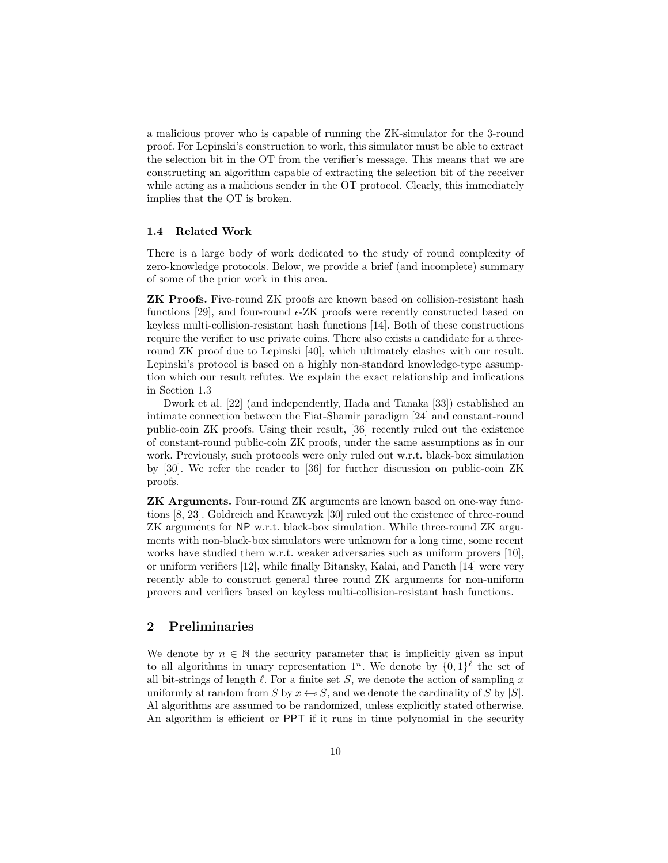a malicious prover who is capable of running the ZK-simulator for the 3-round proof. For Lepinski's construction to work, this simulator must be able to extract the selection bit in the OT from the verifier's message. This means that we are constructing an algorithm capable of extracting the selection bit of the receiver while acting as a malicious sender in the OT protocol. Clearly, this immediately implies that the OT is broken.

## <span id="page-9-1"></span>1.4 Related Work

There is a large body of work dedicated to the study of round complexity of zero-knowledge protocols. Below, we provide a brief (and incomplete) summary of some of the prior work in this area.

ZK Proofs. Five-round ZK proofs are known based on collision-resistant hash functions [\[29\]](#page-28-0), and four-round  $\epsilon$ -ZK proofs were recently constructed based on keyless multi-collision-resistant hash functions [\[14\]](#page-27-6). Both of these constructions require the verifier to use private coins. There also exists a candidate for a threeround ZK proof due to Lepinski [\[40\]](#page-29-3), which ultimately clashes with our result. Lepinski's protocol is based on a highly non-standard knowledge-type assumption which our result refutes. We explain the exact relationship and imlications in [Section 1.3](#page-7-0)

Dwork et al. [\[22\]](#page-28-5) (and independently, Hada and Tanaka [\[33\]](#page-29-10)) established an intimate connection between the Fiat-Shamir paradigm [\[24\]](#page-28-4) and constant-round public-coin ZK proofs. Using their result, [\[36\]](#page-29-2) recently ruled out the existence of constant-round public-coin ZK proofs, under the same assumptions as in our work. Previously, such protocols were only ruled out w.r.t. black-box simulation by [\[30\]](#page-28-2). We refer the reader to [\[36\]](#page-29-2) for further discussion on public-coin ZK proofs.

ZK Arguments. Four-round ZK arguments are known based on one-way functions [\[8,](#page-27-10) [23\]](#page-28-11). Goldreich and Krawcyzk [\[30\]](#page-28-2) ruled out the existence of three-round ZK arguments for NP w.r.t. black-box simulation. While three-round ZK arguments with non-black-box simulators were unknown for a long time, some recent works have studied them w.r.t. weaker adversaries such as uniform provers [\[10\]](#page-27-11), or uniform verifiers [\[12\]](#page-27-12), while finally Bitansky, Kalai, and Paneth [\[14\]](#page-27-6) were very recently able to construct general three round ZK arguments for non-uniform provers and verifiers based on keyless multi-collision-resistant hash functions.

# <span id="page-9-0"></span>2 Preliminaries

We denote by  $n \in \mathbb{N}$  the security parameter that is implicitly given as input to all algorithms in unary representation  $1^n$ . We denote by  $\{0,1\}^{\ell}$  the set of all bit-strings of length  $\ell$ . For a finite set S, we denote the action of sampling x uniformly at random from S by  $x \leftarrow s S$ , and we denote the cardinality of S by  $|S|$ . Al algorithms are assumed to be randomized, unless explicitly stated otherwise. An algorithm is efficient or PPT if it runs in time polynomial in the security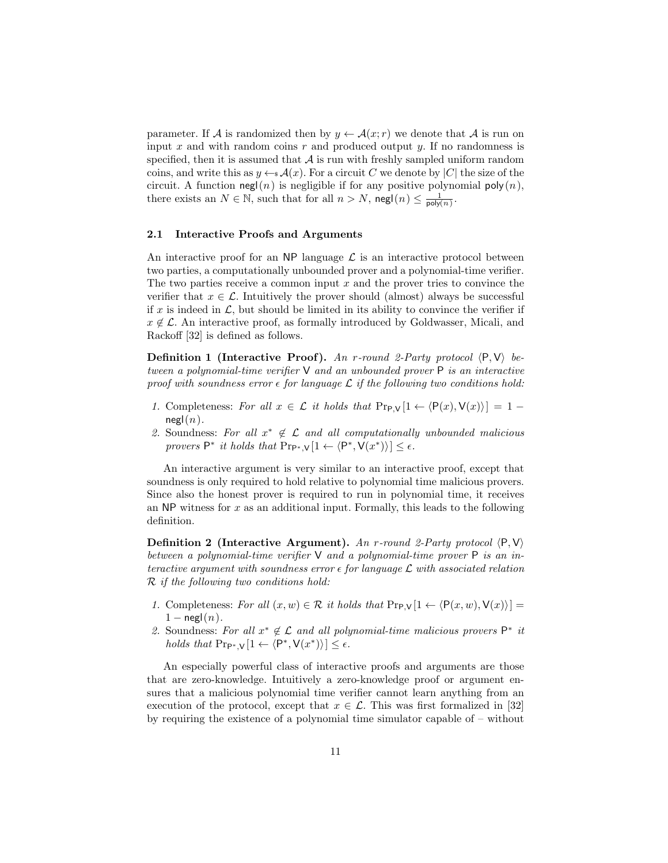parameter. If A is randomized then by  $y \leftarrow \mathcal{A}(x; r)$  we denote that A is run on input x and with random coins  $r$  and produced output  $y$ . If no randomness is specified, then it is assumed that  $A$  is run with freshly sampled uniform random coins, and write this as  $y \leftarrow A(x)$ . For a circuit C we denote by |C| the size of the circuit. A function negl(n) is negligible if for any positive polynomial  $poly(n)$ , there exists an  $N \in \mathbb{N}$ , such that for all  $n > N$ ,  $\mathsf{negl}(n) \leq \frac{1}{\mathsf{poly}(n)}$ .

## <span id="page-10-0"></span>2.1 Interactive Proofs and Arguments

An interactive proof for an NP language  $\mathcal L$  is an interactive protocol between two parties, a computationally unbounded prover and a polynomial-time verifier. The two parties receive a common input  $x$  and the prover tries to convince the verifier that  $x \in \mathcal{L}$ . Intuitively the prover should (almost) always be successful if x is indeed in  $\mathcal{L}$ , but should be limited in its ability to convince the verifier if  $x \notin \mathcal{L}$ . An interactive proof, as formally introduced by Goldwasser, Micali, and Rackoff [\[32\]](#page-29-0) is defined as follows.

**Definition 1 (Interactive Proof).** An r-round 2-Party protocol  $\langle P, V \rangle$  between a polynomial-time verifier  $V$  and an unbounded prover  $P$  is an interactive proof with soundness error  $\epsilon$  for language  $\mathcal L$  if the following two conditions hold:

- 1. Completeness: For all  $x \in \mathcal{L}$  it holds that  $\Pr_{P,V}[1 \leftarrow \langle P(x), V(x) \rangle] = 1$  $negl(n)$ .
- 2. Soundness: For all  $x^* \notin \mathcal{L}$  and all computationally unbounded malicious provers  $\mathsf{P}^*$  it holds that  $\Pr_{\mathsf{P}^*,\mathsf{V}}[1 \leftarrow \langle \mathsf{P}^*,\mathsf{V}(x^*) \rangle] \leq \epsilon$ .

An interactive argument is very similar to an interactive proof, except that soundness is only required to hold relative to polynomial time malicious provers. Since also the honest prover is required to run in polynomial time, it receives an  $NP$  witness for x as an additional input. Formally, this leads to the following definition.

Definition 2 (Interactive Argument). An r-round 2-Party protocol  $\langle P, V \rangle$ between a polynomial-time verifier  $V$  and a polynomial-time prover  $P$  is an interactive argument with soundness error  $\epsilon$  for language  $\mathcal L$  with associated relation R if the following two conditions hold:

- 1. Completeness: For all  $(x, w) \in \mathcal{R}$  it holds that  $\Pr_{P, V} [1 \leftarrow \langle P(x, w), V(x) \rangle] =$  $1 - \text{negl}(n)$ .
- <span id="page-10-1"></span>2. Soundness: For all  $x^* \notin \mathcal{L}$  and all polynomial-time malicious provers  $\mathsf{P}^*$  it holds that  $Pr_{P^*,V}[1 \leftarrow \langle P^*, V(x^*) \rangle] \leq \epsilon$ .

An especially powerful class of interactive proofs and arguments are those that are zero-knowledge. Intuitively a zero-knowledge proof or argument ensures that a malicious polynomial time verifier cannot learn anything from an execution of the protocol, except that  $x \in \mathcal{L}$ . This was first formalized in [\[32\]](#page-29-0) by requiring the existence of a polynomial time simulator capable of – without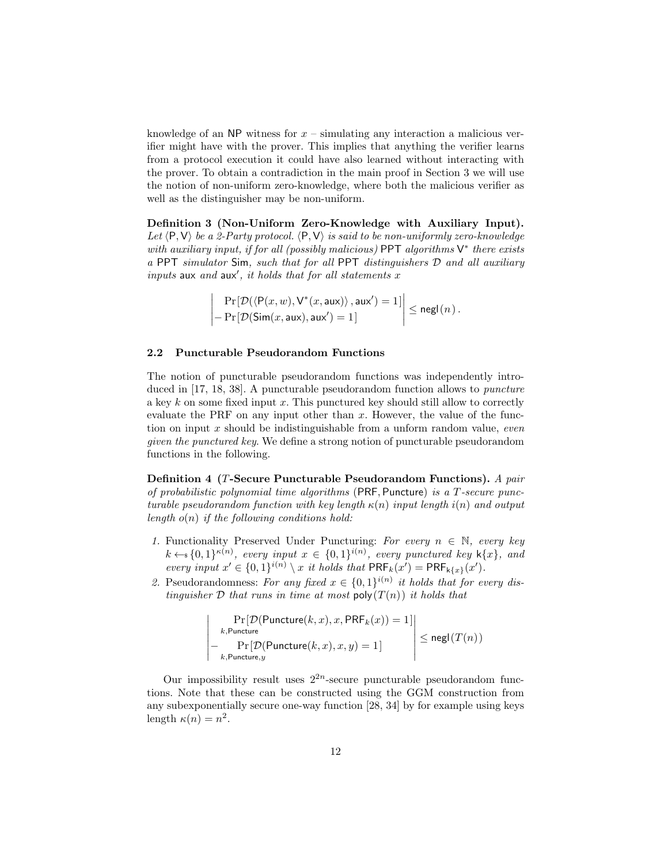knowledge of an NP witness for  $x$  – simulating any interaction a malicious verifier might have with the prover. This implies that anything the verifier learns from a protocol execution it could have also learned without interacting with the prover. To obtain a contradiction in the main proof in [Section 3](#page-13-0) we will use the notion of non-uniform zero-knowledge, where both the malicious verifier as well as the distinguisher may be non-uniform.

Definition 3 (Non-Uniform Zero-Knowledge with Auxiliary Input). Let  $\langle P, V \rangle$  be a 2-Party protocol.  $\langle P, V \rangle$  is said to be non-uniformly zero-knowledge with auxiliary input, if for all (possibly malicious)  $PPT$  algorithms  $V^*$  there exists a PPT simulator Sim, such that for all PPT distinguishers  $D$  and all auxiliary inputs aux and aux', it holds that for all statements  $x$ 

$$
\left|\frac{\Pr[\mathcal{D}(\langle \mathsf{P}(x,w),\mathsf{V}^*(x,\mathsf{aux})\rangle,\mathsf{aux}^\prime)=1]}{-\Pr[\mathcal{D}(\mathsf{Sim}(x,\mathsf{aux}),\mathsf{aux}^\prime)=1]} \right| \leq \mathsf{negl}(n).
$$

#### <span id="page-11-0"></span>2.2 Puncturable Pseudorandom Functions

 $\overline{\phantom{a}}$  $\overline{\phantom{a}}$  $\overline{\phantom{a}}$  $\overline{\phantom{a}}$  $\overline{\phantom{a}}$  $\overline{\phantom{a}}$  $\vert$ 

The notion of puncturable pseudorandom functions was independently intro-duced in [\[17,](#page-28-12) [18,](#page-28-13) [38\]](#page-29-11). A puncturable pseudorandom function allows to *puncture* a key k on some fixed input  $x$ . This punctured key should still allow to correctly evaluate the PRF on any input other than  $x$ . However, the value of the function on input x should be indistinguishable from a unform random value, even given the punctured key. We define a strong notion of puncturable pseudorandom functions in the following.

Definition 4 (T-Secure Puncturable Pseudorandom Functions). A pair of probabilistic polynomial time algorithms (PRF, Puncture) is a T-secure puncturable pseudorandom function with key length  $\kappa(n)$  input length  $i(n)$  and output length  $o(n)$  if the following conditions hold:

- 1. Functionality Preserved Under Puncturing: For every  $n \in \mathbb{N}$ , every key  $k \leftarrow \{0,1\}^{\kappa(n)}$ , every input  $x \in \{0,1\}^{i(n)}$ , every punctured key k{x}, and every input  $x' \in \{0,1\}^{i(n)} \setminus x$  it holds that  $\mathsf{PRF}_k(x') = \mathsf{PRF}_{k\{x\}}(x')$ .
- <span id="page-11-1"></span>2. Pseudorandomness: For any fixed  $x \in \{0,1\}^{i(n)}$  it holds that for every distinguisher D that runs in time at most  $\mathsf{poly}(T(n))$  it holds that

$$
\Pr[\mathcal{D}(\mathsf{Puncture}(k, x), x, \mathsf{PRF}_k(x)) = 1] \mid k, \mathsf{Puncture}(\mathcal{D}(\mathsf{Puncture}(k, x), x, y) = 1] \leq \mathsf{negl}(T(n)) \mid k, \mathsf{Puncture}, y
$$

Our impossibility result uses  $2^{2n}$ -secure puncturable pseudorandom functions. Note that these can be constructed using the GGM construction from any subexponentially secure one-way function [\[28,](#page-28-14) [34\]](#page-29-12) by for example using keys length  $\kappa(n) = n^2$ .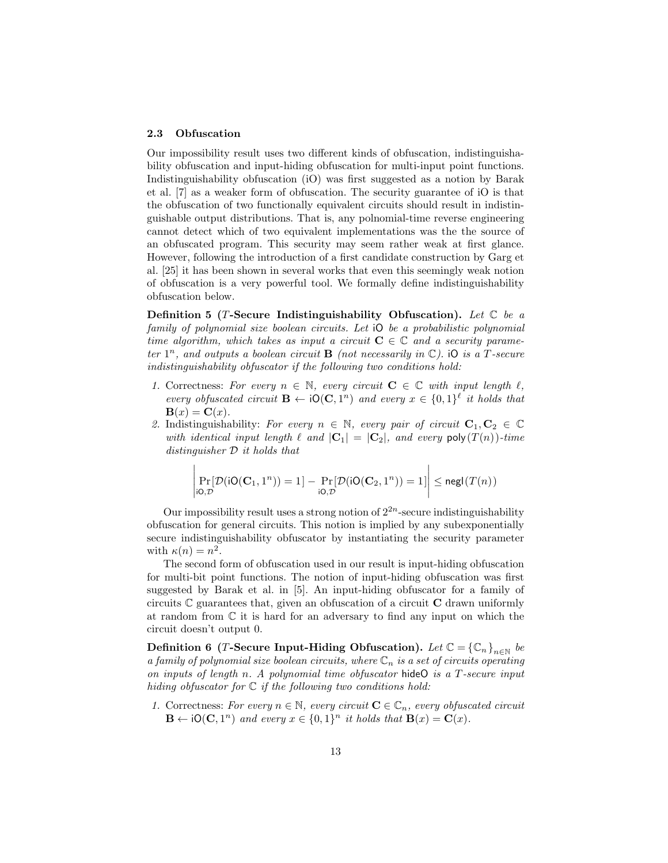## <span id="page-12-2"></span>2.3 Obfuscation

 $\overline{1}$ 

Our impossibility result uses two different kinds of obfuscation, indistinguishability obfuscation and input-hiding obfuscation for multi-input point functions. Indistinguishability obfuscation (iO) was first suggested as a notion by Barak et al. [\[7\]](#page-27-0) as a weaker form of obfuscation. The security guarantee of iO is that the obfuscation of two functionally equivalent circuits should result in indistinguishable output distributions. That is, any polnomial-time reverse engineering cannot detect which of two equivalent implementations was the the source of an obfuscated program. This security may seem rather weak at first glance. However, following the introduction of a first candidate construction by Garg et al. [\[25\]](#page-28-3) it has been shown in several works that even this seemingly weak notion of obfuscation is a very powerful tool. We formally define indistinguishability obfuscation below.

Definition 5 (T-Secure Indistinguishability Obfuscation). Let  $\mathbb C$  be a family of polynomial size boolean circuits. Let iO be a probabilistic polynomial time algorithm, which takes as input a circuit  $C \in \mathbb{C}$  and a security parameter  $1^n$ , and outputs a boolean circuit **B** (not necessarily in  $\mathbb{C}$ ). iO is a T-secure indistinguishability obfuscator if the following two conditions hold:

- 1. Correctness: For every  $n \in \mathbb{N}$ , every circuit  $C \in \mathbb{C}$  with input length  $\ell$ , every obfuscated circuit  $\mathbf{B} \leftarrow \text{iO}(\mathbf{C}, 1^n)$  and every  $x \in \{0, 1\}^{\ell}$  it holds that  $\mathbf{B}(x) = \mathbf{C}(x)$ .
- <span id="page-12-1"></span>2. Indistinguishability: For every  $n \in \mathbb{N}$ , every pair of circuit  $C_1, C_2 \in \mathbb{C}$ with identical input length  $\ell$  and  $|\mathbf{C}_1| = |\mathbf{C}_2|$ , and every poly  $(T(n))$ -time distinguisher D it holds that

$$
\left|\Pr_{\mathsf{iO},\mathcal{D}}[\mathcal{D}(\mathsf{iO}(\mathbf{C}_1,1^n))=1]-\Pr_{\mathsf{iO},\mathcal{D}}[\mathcal{D}(\mathsf{iO}(\mathbf{C}_2,1^n))=1]\right|\leq \mathsf{negl}(T(n))
$$

 $\mathbf{I}$ 

Our impossibility result uses a strong notion of  $2^{2n}$ -secure indistinguishability obfuscation for general circuits. This notion is implied by any subexponentially secure indistinguishability obfuscator by instantiating the security parameter with  $\kappa(n) = n^2$ .

The second form of obfuscation used in our result is input-hiding obfuscation for multi-bit point functions. The notion of input-hiding obfuscation was first suggested by Barak et al. in [\[5\]](#page-27-1). An input-hiding obfuscator for a family of circuits  $\mathbb C$  guarantees that, given an obfuscation of a circuit  $\mathbf C$  drawn uniformly at random from C it is hard for an adversary to find any input on which the circuit doesn't output 0.

<span id="page-12-0"></span>Definition 6 (*T*-Secure Input-Hiding Obfuscation). Let  $\mathbb{C} = {\mathbb{C}_n}_{n \in \mathbb{N}}$  be a family of polynomial size boolean circuits, where  $\mathbb{C}_n$  is a set of circuits operating on inputs of length n. A polynomial time obfuscator hideO is a  $T$ -secure input hiding obfuscator for  $\mathbb C$  if the following two conditions hold:

1. Correctness: For every  $n \in \mathbb{N}$ , every circuit  $\mathbf{C} \in \mathbb{C}_n$ , every obfuscated circuit  $\mathbf{B} \leftarrow \text{iO}(\mathbf{C}, 1^n)$  and every  $x \in \{0, 1\}^n$  it holds that  $\mathbf{B}(x) = \mathbf{C}(x)$ .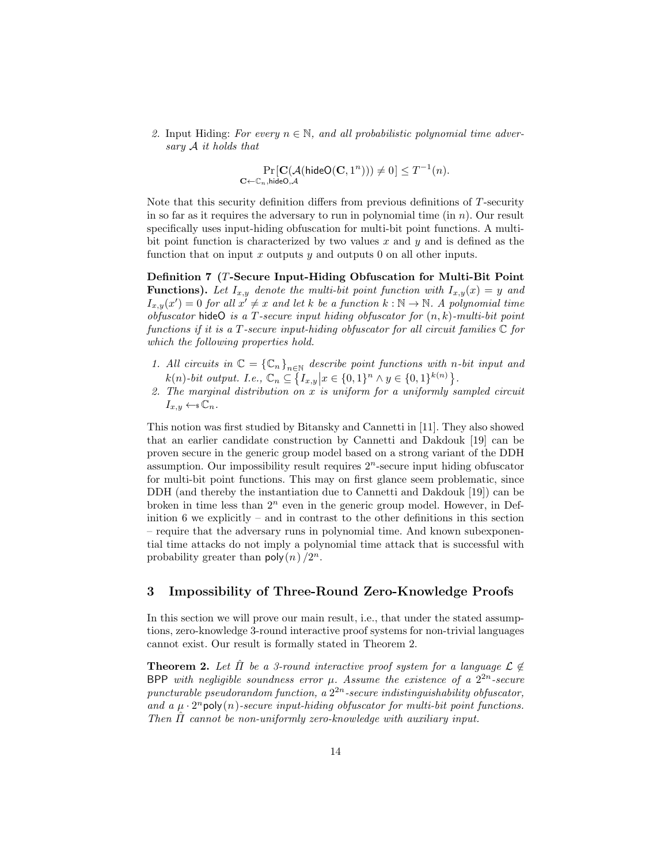2. Input Hiding: For every  $n \in \mathbb{N}$ , and all probabilistic polynomial time adversary A it holds that

$$
\Pr[\mathbf{C}(\mathcal{A}(\mathsf{hideO}(\mathbf{C}, 1^n))) \neq 0] \leq T^{-1}(n).
$$
  

$$
\mathbf{C} \leftarrow \mathbb{C}_n, \mathsf{hideO}, \mathcal{A}
$$

Note that this security definition differs from previous definitions of T-security in so far as it requires the adversary to run in polynomial time  $(in n)$ . Our result specifically uses input-hiding obfuscation for multi-bit point functions. A multibit point function is characterized by two values x and  $y$  and is defined as the function that on input x outputs y and outputs 0 on all other inputs.

Definition 7 (T-Secure Input-Hiding Obfuscation for Multi-Bit Point **Functions).** Let  $I_{x,y}$  denote the multi-bit point function with  $I_{x,y}(x) = y$  and  $I_{x,y}(x') = 0$  for all  $x' \neq x$  and let k be a function  $k : \mathbb{N} \to \mathbb{N}$ . A polynomial time obfuscator hideO is a T-secure input hiding obfuscator for  $(n, k)$ -multi-bit point functions if it is a T-secure input-hiding obfuscator for all circuit families  $\mathbb C$  for which the following properties hold.

- 1. All circuits in  $\mathbb{C} = {\mathbb{C}_n}_{n \in \mathbb{N}}$  describe point functions with n-bit input and  $k(n)$ -bit output. I.e.,  $\mathbb{C}_n \subseteq \{I_{x,y} | x \in \{0,1\}^n \wedge y \in \{0,1\}^{k(n)}\}.$
- <span id="page-13-2"></span>2. The marginal distribution on  $\tilde{x}$  is uniform for a uniformly sampled circuit  $I_{x,y} \leftarrow \mathcal{S} \mathbb{C}_n$ .

This notion was first studied by Bitansky and Cannetti in [\[11\]](#page-27-2). They also showed that an earlier candidate construction by Cannetti and Dakdouk [\[19\]](#page-28-9) can be proven secure in the generic group model based on a strong variant of the DDH assumption. Our impossibility result requires  $2<sup>n</sup>$ -secure input hiding obfuscator for multi-bit point functions. This may on first glance seem problematic, since DDH (and thereby the instantiation due to Cannetti and Dakdouk [\[19\]](#page-28-9)) can be broken in time less than  $2^n$  even in the generic group model. However, in [Def](#page-12-0)[inition 6](#page-12-0) we explicitly – and in contrast to the other definitions in this section – require that the adversary runs in polynomial time. And known subexponential time attacks do not imply a polynomial time attack that is successful with probability greater than  $\text{poly}(n)/2^n$ .

# <span id="page-13-0"></span>3 Impossibility of Three-Round Zero-Knowledge Proofs

In this section we will prove our main result, i.e., that under the stated assumptions, zero-knowledge 3-round interactive proof systems for non-trivial languages cannot exist. Our result is formally stated in [Theorem 2.](#page-13-1)

<span id="page-13-1"></span>**Theorem 2.** Let  $\hat{\Pi}$  be a 3-round interactive proof system for a language  $\mathcal{L} \notin$ BPP with negligible soundness error  $\mu$ . Assume the existence of a  $2^{2n}$ -secure puncturable pseudorandom function, a  $2^{2n}$ -secure indistinguishability obfuscator, and a  $\mu \cdot 2^n$  poly  $(n)$ -secure input-hiding obfuscator for multi-bit point functions. Then  $\Pi$  cannot be non-uniformly zero-knowledge with auxiliary input.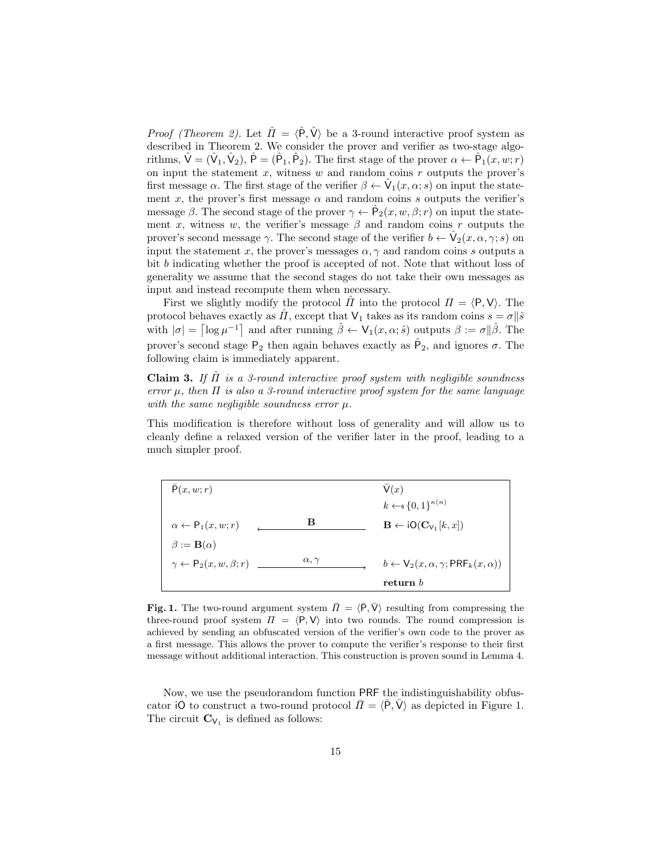*Proof [\(Theorem 2\)](#page-13-1).* Let  $\hat{\Pi} = \langle \hat{P}, \hat{V} \rangle$  be a 3-round interactive proof system as described in [Theorem 2.](#page-13-1) We consider the prover and verifier as two-stage algorithms,  $\hat{\mathsf{V}} = (\hat{\mathsf{V}}_1, \hat{\mathsf{V}}_2), \hat{\mathsf{P}} = (\hat{\mathsf{P}}_1, \hat{\mathsf{P}}_2)$ . The first stage of the prover  $\alpha \leftarrow \hat{\mathsf{P}}_1(x, w; r)$ on input the statement  $x$ , witness  $w$  and random coins  $r$  outputs the prover's first message  $\alpha$ . The first stage of the verifier  $\beta \leftarrow \hat{V}_1(x, \alpha; s)$  on input the statement x, the prover's first message  $\alpha$  and random coins s outputs the verifier's message  $\beta$ . The second stage of the prover  $\gamma \leftarrow \hat{P}_2(x, w, \beta; r)$  on input the statement x, witness w, the verifier's message  $\beta$  and random coins r outputs the prover's second message  $\gamma$ . The second stage of the verifier  $b \leftarrow \hat{V}_2(x, \alpha, \gamma; s)$  on input the statement x, the prover's messages  $\alpha$ ,  $\gamma$  and random coins s outputs a bit b indicating whether the proof is accepted of not. Note that without loss of generality we assume that the second stages do not take their own messages as input and instead recompute them when necessary.

First we slightly modify the protocol  $\Pi$  into the protocol  $\Pi = \langle P, V \rangle$ . The protocol behaves exactly as  $\Pi$ , except that  $V_1$  takes as its random coins  $s = \sigma || \hat{s}$ with  $|\sigma| = \lceil \log \mu^{-1} \rceil$  and after running  $\hat{\beta} \leftarrow V_1(x, \alpha; \hat{s})$  outputs  $\beta := \sigma || \hat{\beta}$ . The prover's second stage  $P_2$  then again behaves exactly as  $\hat{P}_2$ , and ignores  $\sigma$ . The following claim is immediately apparent.

**Claim 3.** If  $\Pi$  is a 3-round interactive proof system with negligible soundness error  $\mu$ , then  $\Pi$  is also a 3-round interactive proof system for the same language with the same negligible soundness error  $\mu$ .

This modification is therefore without loss of generality and will allow us to cleanly define a relaxed version of the verifier later in the proof, leading to a much simpler proof.



<span id="page-14-0"></span>**Fig. 1.** The two-round argument system  $\overline{I} = \langle \overline{P}, \overline{V} \rangle$  resulting from compressing the three-round proof system  $\Pi = \langle P, V \rangle$  into two rounds. The round compression is achieved by sending an obfuscated version of the verifier's own code to the prover as a first message. This allows the prover to compute the verifier's response to their first message without additional interaction. This construction is proven sound in [Lemma 4.](#page-15-0)

Now, we use the pseudorandom function PRF the indistinguishability obfuscator iO to construct a two-round protocol  $\Pi = \langle \overline{P}, \overline{V} \rangle$  as depicted in [Figure 1.](#page-14-0) The circuit  $\mathbf{C}_{V_1}$  is defined as follows: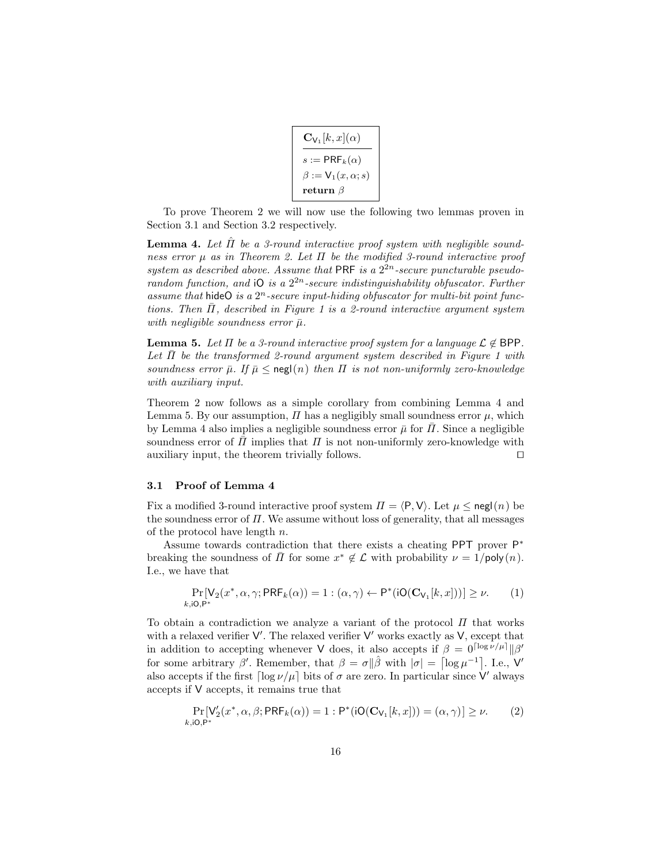<span id="page-15-0"></span>

| ${\bf C}_{{\sf V}_1}[k,x](\alpha)$  |  |
|-------------------------------------|--|
| $s := \mathsf{PRF}_k(\alpha)$       |  |
| $\beta := \mathsf{V}_1(x,\alpha;s)$ |  |
| return $\beta$                      |  |

To prove [Theorem 2](#page-13-1) we will now use the following two lemmas proven in [Section 3.1](#page-15-1) and [Section 3.2](#page-24-0) respectively.

**Lemma 4.** Let  $\Pi$  be a 3-round interactive proof system with negligible soundness error  $\mu$  as in [Theorem 2.](#page-13-1) Let  $\Pi$  be the modified 3-round interactive proof system as described above. Assume that PRF is a  $2^{2n}$ -secure puncturable pseudorandom function, and iO is a  $2^{2n}$ -secure indistinguishability obfuscator. Further assume that hideO is a  $2^n$ -secure input-hiding obfuscator for multi-bit point functions. Then  $\Pi$ , described in [Figure 1](#page-14-0) is a 2-round interactive argument system with negligible soundness error  $\bar{\mu}$ .

<span id="page-15-2"></span>**Lemma 5.** Let  $\Pi$  be a 3-round interactive proof system for a language  $\mathcal{L} \notin \text{BPP}$ . Let  $\Pi$  be the transformed 2-round argument system described in [Figure 1](#page-14-0) with soundness error  $\bar{\mu}$ . If  $\bar{\mu} \leq$  negl $(n)$  then  $\Pi$  is not non-uniformly zero-knowledge with auxiliary input.

[Theorem 2](#page-13-1) now follows as a simple corollary from combining [Lemma 4](#page-15-0) and [Lemma 5.](#page-15-2) By our assumption,  $\Pi$  has a negligibly small soundness error  $\mu$ , which by [Lemma 4](#page-15-0) also implies a negligible soundness error  $\bar{\mu}$  for  $\bar{\Pi}$ . Since a negligible soundness error of  $\overline{I}$  implies that  $\overline{I}$  is not non-uniformly zero-knowledge with auxiliary input, the theorem trivially follows.  $\Box$ 

## <span id="page-15-1"></span>3.1 Proof of [Lemma 4](#page-15-0)

Fix a modified 3-round interactive proof system  $\Pi = \langle P, V \rangle$ . Let  $\mu \leq \text{negl}(n)$  be the soundness error of  $\Pi$ . We assume without loss of generality, that all messages of the protocol have length  $n$ .

Assume towards contradiction that there exists a cheating PPT prover P<sup>\*</sup> breaking the soundness of  $\bar{\Pi}$  for some  $x^* \notin \mathcal{L}$  with probability  $\nu = 1/\text{poly}(n)$ . I.e., we have that

$$
\Pr_{k,i\mathsf{O},\mathsf{P}^*}[\mathsf{V}_2(x^*,\alpha,\gamma;\mathsf{PRF}_k(\alpha))=1:(\alpha,\gamma)\leftarrow \mathsf{P}^*(\mathsf{i}\mathsf{O}(\mathbf{C}_{\mathsf{V}_1}[k,x]))] \geq \nu. \tag{1}
$$

To obtain a contradiction we analyze a variant of the protocol  $\Pi$  that works with a relaxed verifier  $V'$ . The relaxed verifier  $V'$  works exactly as  $V$ , except that in addition to accepting whenever V does, it also accepts if  $\beta = 0^{\lceil \log \nu / \mu \rceil} || \beta'$ for some arbitrary  $\beta'$ . Remember, that  $\beta = \sigma || \hat{\beta}$  with  $|\sigma| = [\log \mu^{-1}]$ . I.e., V' also accepts if the first  $\lceil \log \nu / \mu \rceil$  bits of  $\sigma$  are zero. In particular since V' always accepts if V accepts, it remains true that

$$
\Pr_{k,i\mathsf{O},\mathsf{P}^*}[\mathsf{V}'_2(x^*,\alpha,\beta;\mathsf{PRF}_k(\alpha))=1:\mathsf{P}^*(\mathsf{i}\mathsf{O}(\mathbf{C}_{\mathsf{V}_1}[k,x]))=(\alpha,\gamma)]\geq\nu.\tag{2}
$$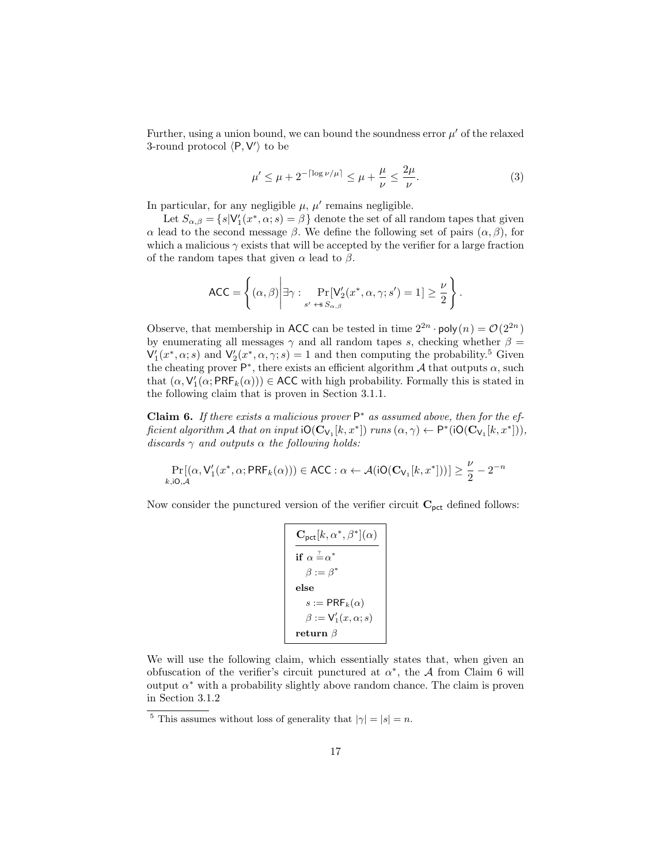Further, using a union bound, we can bound the soundness error  $\mu'$  of the relaxed 3-round protocol  $\langle P, V' \rangle$  to be

$$
\mu' \le \mu + 2^{-\lceil \log \nu / \mu \rceil} \le \mu + \frac{\mu}{\nu} \le \frac{2\mu}{\nu}.
$$
\n(3)

In particular, for any negligible  $\mu$ ,  $\mu'$  remains negligible.

Let  $S_{\alpha,\beta} = \{s | V_1'(x^*, \alpha; s) = \beta\}$  denote the set of all random tapes that given α lead to the second message β. We define the following set of pairs (α, β), for which a malicious  $\gamma$  exists that will be accepted by the verifier for a large fraction of the random tapes that given  $\alpha$  lead to  $\beta$ .

$$
\mathsf{ACC} = \left\{ (\alpha, \beta) \middle| \exists \gamma : \Pr_{s' \leftrightarrow S_{\alpha, \beta}}[V_2'(x^*, \alpha, \gamma; s') = 1] \ge \frac{\nu}{2} \right\}.
$$

Observe, that membership in ACC can be tested in time  $2^{2n} \cdot \text{poly}(n) = \mathcal{O}(2^{2n})$ by enumerating all messages  $\gamma$  and all random tapes s, checking whether  $\beta =$  $V_1'(x^*, \alpha; s)$  and  $V_2'(x^*, \alpha, \gamma; s) = 1$  and then computing the probability.<sup>[5](#page-16-0)</sup> Given the cheating prover  $\mathsf{P}^*$ , there exists an efficient algorithm A that outputs  $\alpha$ , such that  $(\alpha, V'_1(\alpha; PRF_k(\alpha))) \in ACC$  with high probability. Formally this is stated in the following claim that is proven in [Section 3.1.1.](#page-18-0)

**Claim 6.** If there exists a malicious prover  $P^*$  as assumed above, then for the efficient algorithm A that on input  $\mathsf{IO}(\mathbf{C}_{\mathsf{V}_1}[k,x^*])$  runs  $(\alpha, \gamma) \leftarrow \mathsf{P}^*(\mathsf{IO}(\mathbf{C}_{\mathsf{V}_1}[k,x^*])),$ discards  $\gamma$  and outputs  $\alpha$  the following holds:

$$
\Pr_{k, \mathsf{id}, \mathcal{A}}[(\alpha, \mathsf{V}'_1(x^*, \alpha; \mathsf{PRF}_k(\alpha))) \in \mathsf{ACC}: \alpha \leftarrow \mathcal{A}(\mathsf{iO}(\mathbf{C}_{\mathsf{V}_1}[k, x^*])) \ge \frac{\nu}{2} - 2^{-n}
$$

Now consider the punctured version of the verifier circuit  $C_{\text{pct}}$  defined follows:

<span id="page-16-1"></span>
$$
\begin{array}{c}\n\mathbf{C}_{\text{pct}}[k, \alpha^*, \beta^*](\alpha) \\
\hline\n\text{if } \alpha \stackrel{\text{\tiny ?}}{=} \alpha^* \\
\beta := \beta^* \\
\text{else} \\
s := \text{PRF}_k(\alpha) \\
\beta := \mathsf{V}'_1(x, \alpha; s) \\
\text{return } \beta\n\end{array}
$$

We will use the following claim, which essentially states that, when given an obfuscation of the verifier's circuit punctured at  $\alpha^*$ , the A from [Claim 6](#page-16-1) will output  $\alpha^*$  with a probability slightly above random chance. The claim is proven in [Section 3.1.2](#page-21-0)

<span id="page-16-2"></span><span id="page-16-0"></span><sup>&</sup>lt;sup>5</sup> This assumes without loss of generality that  $|\gamma| = |s| = n$ .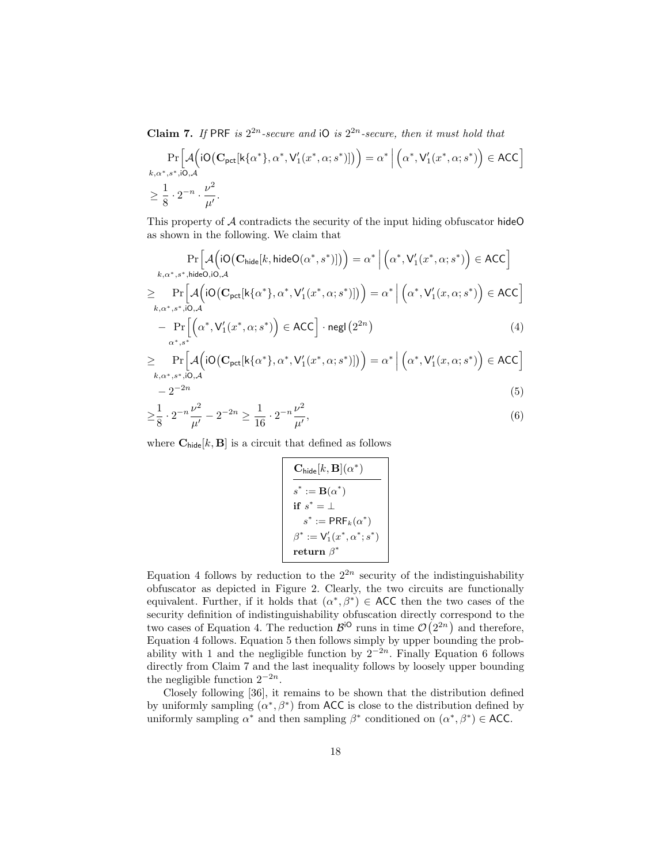Claim 7. If PRF is  $2^{2n}$ -secure and iO is  $2^{2n}$ -secure, then it must hold that

$$
\Pr\left[\mathcal{A}\Big(\text{iO}\big(\mathbf{C}_{\text{pct}}[\mathsf{k}\{\alpha^*\},\alpha^*,\mathsf{V}_1'(x^*,\alpha;s^*)]\big)\Big) = \alpha^* \Big|\begin{pmatrix} \alpha^*,\mathsf{V}_1'(x^*,\alpha;s^*) \end{pmatrix} \in \text{ACC}\right] \\ \geq \frac{1}{8} \cdot 2^{-n} \cdot \frac{\nu^2}{\mu'}.
$$

This property of  $A$  contradicts the security of the input hiding obfuscator hideO as shown in the following. We claim that

$$
\Pr\left[\mathcal{A}\Big(\text{iO}\big(\mathbf{C}_{\text{hide}}[k,\text{ hideO}(\alpha^*,s^*)]\big)\Big) = \alpha^* \Big|\left(\alpha^*,\mathsf{V}_1'(x^*,\alpha;s^*)\right) \in \text{ACC}\right] \nk, \alpha^*, s^*, \text{hideO}, \text{iO}, \mathcal{A} \n\geq \Pr\left[\mathcal{A}\Big(\text{iO}\big(\mathbf{C}_{\text{pct}}[k\{\alpha^*\},\alpha^*,\mathsf{V}_1'(x^*,\alpha;s^*)]\big)\Big) = \alpha^* \Big|\left(\alpha^*,\mathsf{V}_1'(x,\alpha;s^*)\right) \in \text{ACC}\right] \n- \Pr\left[\left(\alpha^*,\mathsf{V}_1'(x^*,\alpha;s^*)\right) \in \text{ACC}\right] \cdot \text{negl}\left(2^{2n}\right)
$$
\n(4)

$$
\geq \Pr_{k,\alpha^*,s^*,\mathsf{iO},\mathcal{A}} \Pr\left[\mathcal{A}\Big(\mathsf{iO}\big(\mathbf{C}_{\mathsf{pot}}[\mathsf{k}\{\alpha^*\},\alpha^*,\mathsf{V}_1'(x^*,\alpha;s^*)]\big)\Big) = \alpha^* \left| \left(\alpha^*,\mathsf{V}_1'(x,\alpha;s^*)\right) \in \mathsf{ACC} \right.\right] \\ - 2^{-2n} \tag{5}
$$

$$
\geq \frac{1}{8} \cdot 2^{-n} \frac{\nu^2}{\mu'} - 2^{-2n} \geq \frac{1}{16} \cdot 2^{-n} \frac{\nu^2}{\mu'},
$$
\n(6)

where  $\mathbf{C}_{\text{hide}}[k, \mathbf{B}]$  is a circuit that defined as follows

<span id="page-17-2"></span><span id="page-17-1"></span><span id="page-17-0"></span>
$$
\begin{array}{c}\n\mathbf{C}_{\text{hide}}[k, \mathbf{B}](\alpha^*) \\
\hline\ns^* := \mathbf{B}(\alpha^*) \\
\text{if } s^* = \bot \\
s^* := \mathsf{PRF}_k(\alpha^*) \\
\beta^* := \mathsf{V}'_1(x^*, \alpha^*; s^*) \\
\text{return } \beta^* \\
\end{array}
$$

[Equation 4](#page-17-0) follows by reduction to the  $2^{2n}$  security of the indistinguishability obfuscator as depicted in [Figure 2.](#page-18-1) Clearly, the two circuits are functionally equivalent. Further, if it holds that  $(\alpha^*, \beta^*) \in \text{ACC}$  then the two cases of the security definition of indistinguishability obfuscation directly correspond to the two cases of [Equation 4.](#page-17-0) The reduction  $\mathcal{B}^{\text{IO}}$  runs in time  $\mathcal{O}(2^{2n})$  and therefore, [Equation 4](#page-17-0) follows. [Equation 5](#page-17-1) then follows simply by upper bounding the probability with 1 and the negligible function by  $2^{-2n}$ . Finally [Equation 6](#page-17-2) follows directly from [Claim 7](#page-16-2) and the last inequality follows by loosely upper bounding the negligible function  $2^{-2n}$ .

Closely following [\[36\]](#page-29-2), it remains to be shown that the distribution defined by uniformly sampling  $(\alpha^*, \beta^*)$  from ACC is close to the distribution defined by uniformly sampling  $\alpha^*$  and then sampling  $\beta^*$  conditioned on  $(\alpha^*, \beta^*) \in \text{ACC}.$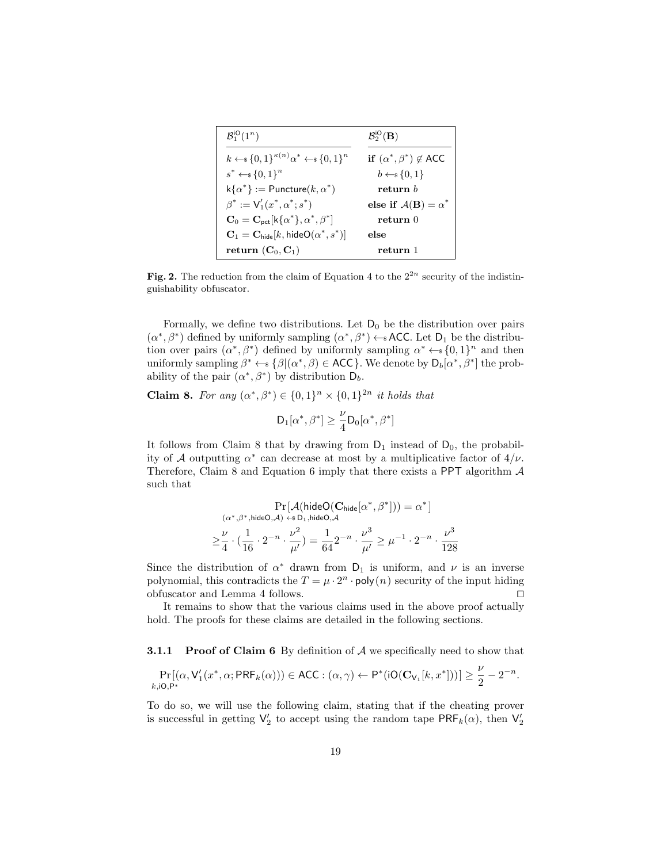| $\mathcal{B}_1^{i0}(1^n)$                                                  | $\mathcal{B}_2^{i0}(\mathbf{B})$    |
|----------------------------------------------------------------------------|-------------------------------------|
| $k \leftarrow \{0,1\}^{\kappa(n)} \alpha^* \leftarrow \{0,1\}^n$           | if $(\alpha^*, \beta^*) \notin ACC$ |
| $s^* \leftarrow s \{0,1\}^n$                                               | $b \leftarrow s \{0, 1\}$           |
| $\mathsf{k}\{\alpha^*\} := \mathsf{Puncture}(k, \alpha^*)$                 | return $b$                          |
| $\beta^* := \mathsf{V}'_1(x^*, \alpha^*; s^*)$                             | else if $A(\mathbf{B}) = \alpha^*$  |
| $\mathbf{C}_0 = \mathbf{C}_{\text{pct}}[k\{\alpha^*\}, \alpha^*, \beta^*]$ | return 0                            |
| $C_1 = C_{\text{hide}}[k, \text{ hideO}(\alpha^*, s^*)]$                   | else                                |
| return $(C_0, C_1)$                                                        | return 1                            |

<span id="page-18-1"></span>Fig. 2. The reduction from the claim of [Equation 4](#page-17-0) to the  $2^{2n}$  security of the indistinguishability obfuscator.

Formally, we define two distributions. Let  $D_0$  be the distribution over pairs  $(\alpha^*, \beta^*)$  defined by uniformly sampling  $(\alpha^*, \beta^*) \leftarrow$  ACC. Let  $D_1$  be the distribution over pairs  $(\alpha^*, \beta^*)$  defined by uniformly sampling  $\alpha^* \leftarrow \{0, 1\}^n$  and then uniformly sampling  $\beta^* \leftarrow s \{\beta | (\alpha^*, \beta) \in \text{ACC}\}\)$ . We denote by  $D_b[\alpha^*, \beta^*]$  the probability of the pair  $(\alpha^*, \beta^*)$  by distribution  $D_b$ .

**Claim 8.** For any  $(\alpha^*, \beta^*) \in \{0, 1\}^n \times \{0, 1\}^{2n}$  it holds that

<span id="page-18-2"></span>
$$
\mathsf{D}_1[\alpha^*,\beta^*] \geq \frac{\nu}{4} \mathsf{D}_0[\alpha^*,\beta^*]
$$

It follows from [Claim 8](#page-18-2) that by drawing from  $D_1$  instead of  $D_0$ , the probability of A outputting  $\alpha^*$  can decrease at most by a multiplicative factor of  $4/\nu$ . Therefore, [Claim 8](#page-18-2) and [Equation 6](#page-17-2) imply that there exists a PPT algorithm  $A$ such that

$$
\Pr[\mathcal{A}(\mathsf{hideO}(\mathbf{C}_{\mathsf{hide}}[\alpha^*,\beta^*])) = \alpha^*]
$$
\n
$$
(\alpha^*,\beta^*,\mathsf{hideO},\mathcal{A}) \leftrightarrow \mathsf{D}_1,\mathsf{hideO},\mathcal{A}
$$
\n
$$
\geq \frac{\nu}{4} \cdot (\frac{1}{16} \cdot 2^{-n} \cdot \frac{\nu^2}{\mu'}) = \frac{1}{64} 2^{-n} \cdot \frac{\nu^3}{\mu'} \geq \mu^{-1} \cdot 2^{-n} \cdot \frac{\nu^3}{128}
$$

Since the distribution of  $\alpha^*$  drawn from  $D_1$  is uniform, and  $\nu$  is an inverse polynomial, this contradicts the  $T = \mu \cdot 2^n \cdot \text{poly}(n)$  security of the input hiding obfuscator and [Lemma 4](#page-15-0) follows.  $\Box$ 

It remains to show that the various claims used in the above proof actually hold. The proofs for these claims are detailed in the following sections.

<span id="page-18-0"></span>**3.1.1 Proof of [Claim 6](#page-16-1)** By definition of  $A$  we specifically need to show that

$$
\Pr_{k,i\mathsf{O},\mathsf{P}^*}[(\alpha,\mathsf{V}'_1(x^*,\alpha;\mathsf{PRF}_k(\alpha))) \in \mathsf{ACC}: (\alpha,\gamma) \leftarrow \mathsf{P}^* (i\mathsf{O}(\mathbf{C}_{\mathsf{V}_1}[k,x^*]))] \geq \frac{\nu}{2} - 2^{-n}.
$$

To do so, we will use the following claim, stating that if the cheating prover is successful in getting  $V'_2$  to accept using the random tape  $\mathsf{PRF}_k(\alpha)$ , then  $V'_2$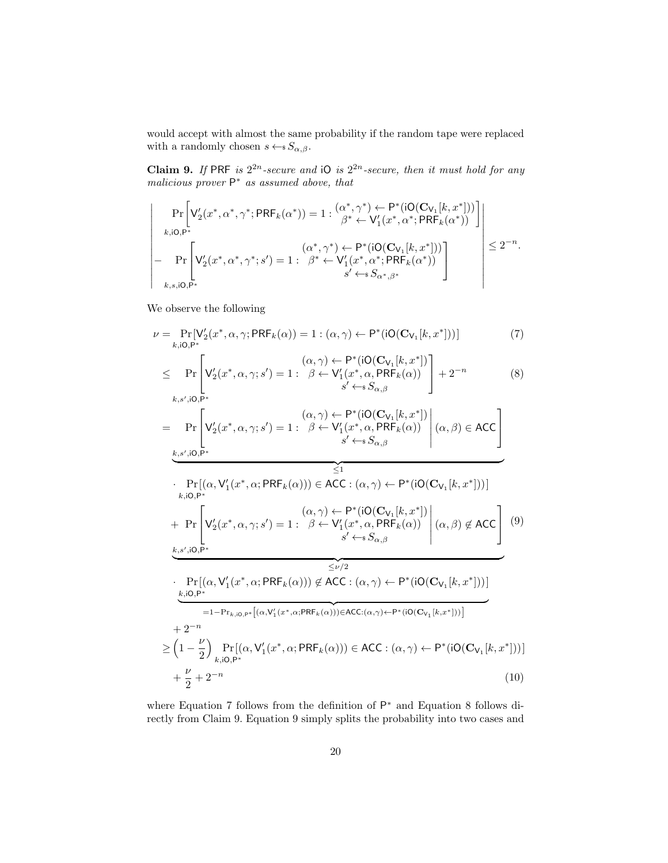<span id="page-19-2"></span>would accept with almost the same probability if the random tape were replaced with a randomly chosen  $s \leftarrow s S_{\alpha,\beta}$ .

**Claim 9.** If PRF is  $2^{2n}$ -secure and iO is  $2^{2n}$ -secure, then it must hold for any malicious prover  $P^*$  as assumed above, that

$$
\left|\begin{array}{c} \Pr\left[\mathsf{V}'_2(x^*,\alpha^*,\gamma^*;\mathsf{PRF}_k(\alpha^*))=1:\begin{matrix}(\alpha^*,\gamma^*)\leftarrow\mathsf{P}^*({\sf iO}(\mathbf{C}_{\mathsf{V}_1}[k,x^*]))\\ \beta^*\leftarrow\mathsf{V}'_1(x^*,\alpha^*;\mathsf{PRF}_k(\alpha^*))\end{matrix}\right)\right] \\ -\Pr\left[\mathsf{V}'_2(x^*,\alpha^*,\gamma^*;s')=1:\begin{matrix}(\alpha^*,\gamma^*)\leftarrow\mathsf{P}^*({\sf iO}(\mathbf{C}_{\mathsf{V}_1}[k,x^*]))\\ \beta^*\leftarrow\mathsf{V}'_1(x^*,\alpha^*;\mathsf{PRF}_k(\alpha^*))\\ s'\leftarrow sS_{\alpha^*,\beta^*}\end{matrix}\right]\right] \leq 2^{-n}.
$$

We observe the following

<span id="page-19-3"></span><span id="page-19-1"></span><span id="page-19-0"></span>
$$
\nu = \Pr[V_2'(x^*, \alpha, \gamma; PRF_k(\alpha)) = 1 : (\alpha, \gamma) \leftarrow P^*(iO(C_{V_1}[k, x^*]))]
$$
(7)  
\n
$$
\leq \Pr\left[V_2'(x^*, \alpha, \gamma; s') = 1 : \beta \leftarrow V_1'(x^*, \alpha, PRF_k(\alpha))\right] + 2^{-n}
$$
(8)  
\n
$$
k, s', i, 0, P^*
$$
  
\n
$$
= \Pr\left[V_2'(x^*, \alpha, \gamma; s') = 1 : \beta \leftarrow V_1'(x^*, \alpha, PRF_k(\alpha))\right] (\alpha, \beta) \in ACC
$$
  
\n
$$
= \Pr\left[V_2'(x^*, \alpha, \gamma; s') = 1 : \beta \leftarrow V_1'(x^*, \alpha, PRF_k(\alpha))\right] (\alpha, \beta) \in ACC
$$
  
\n
$$
k, s', i, 0, P^*
$$
  
\n
$$
\cdot \Pr[(\alpha, V_1'(x^*, \alpha; PRF_k(\alpha))) \in ACC : (\alpha, \gamma) \leftarrow P^*(iO(C_{V_1}[k, x^*]))]
$$
  
\n
$$
+ \Pr\left[V_2'(x^*, \alpha, \gamma; s') = 1 : \beta \leftarrow V_1'(x^*, \alpha, PRF_k(\alpha))\right] (\alpha, \beta) \notin ACC
$$
  
\n
$$
+ \Pr\left[V_2'(x^*, \alpha, \gamma; s') = 1 : \beta \leftarrow V_1'(x^*, \alpha, PRF_k(\alpha))\right] (\alpha, \beta) \notin ACC
$$
  
\n
$$
+ \Pr\left[V_2'(x^*, \alpha, \gamma; s') = 1 : \beta \leftarrow V_1'(x^*, \alpha, PRF_k(\alpha))\right] (\alpha, \beta) \notin ACC
$$
  
\n
$$
\cdot \Pr[(\alpha, V_1'(x^*, \alpha; PRF_k(\alpha))) \notin ACC : (\alpha, \gamma) \leftarrow P^*(iO(C_{V_1}[k, x^*]))]
$$
  
\n
$$
+ 2^{-n}
$$
  
\n
$$
\geq (1 - \frac{\nu}{2}) \Pr[(\alpha, V_1'(x^*, \alpha; PRF_k(\alpha))) \in ACC : (\alpha, \gamma) \leftarrow P^*(iO(C_{V_1}[k, x^*]))]
$$
  
\n
$$
+ \frac{\nu}{2} +
$$

<span id="page-19-4"></span>where [Equation 7](#page-19-0) follows from the definition of  $\mathsf{P}^*$  and [Equation 8](#page-19-1) follows directly from [Claim 9.](#page-19-2) [Equation 9](#page-19-3) simply splits the probability into two cases and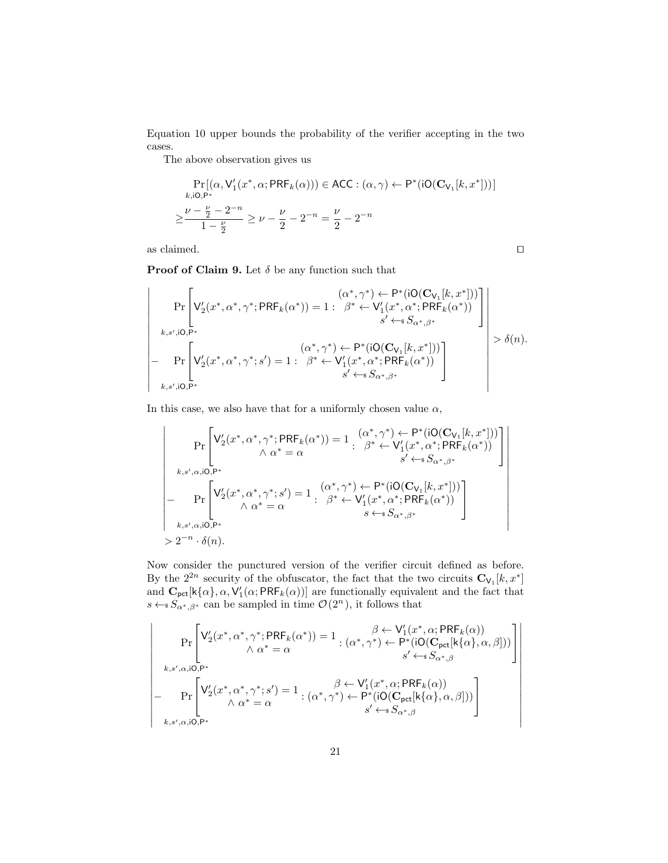[Equation 10](#page-19-4) upper bounds the probability of the verifier accepting in the two cases.

The above observation gives us

$$
\Pr[(\alpha, \mathsf{V}'_1(x^*, \alpha; \mathsf{PRF}_k(\alpha))) \in \mathsf{ACC}: (\alpha, \gamma) \leftarrow \mathsf{P}^* (\mathsf{iO}(\mathbf{C}_{\mathsf{V}_1}[k, x^*]))]
$$
\n
$$
\geq \frac{\nu - \frac{\nu}{2} - 2^{-n}}{1 - \frac{\nu}{2}} \geq \nu - \frac{\nu}{2} - 2^{-n} = \frac{\nu}{2} - 2^{-n}
$$

as claimed.  $\hfill \Box$ 

 $\overline{\phantom{a}}$  $\overline{\phantom{a}}$  $\overline{\phantom{a}}$  $\overline{\phantom{a}}$  $\overline{\phantom{a}}$  $\overline{\phantom{a}}$ I  $\overline{\phantom{a}}$  $\overline{\phantom{a}}$  $\overline{\phantom{a}}$  $\overline{\phantom{a}}$  $\overline{\phantom{a}}$  $\overline{\phantom{a}}$  $\overline{\phantom{a}}$  $\overline{\phantom{a}}$  $\mid$ 

**Proof of [Claim 9.](#page-19-2)** Let  $\delta$  be any function such that

$$
\Pr\left[\bigvee_{2}^{\prime}(x^{*},\alpha^{*},\gamma^{*};\mathsf{PRF}_{k}(\alpha^{*}))=1:\begin{array}{c}(\alpha^{*},\gamma^{*})\leftarrow\Pr(\mathsf{iO}(\mathbf{C}_{\mathbf{V}_{1}}[k,x^{*}]))\\ \beta^{*}\leftarrow\mathbf{V}'_{1}(x^{*},\alpha^{*};\mathsf{PRF}_{k}(\alpha^{*}))\end{array}\right]\right|_{s'\leftarrow s}S_{\alpha^{*},\beta^{*}}.
$$
\n
$$
-\Pr\left[\bigvee_{2}^{\prime}(x^{*},\alpha^{*},\gamma^{*};s')=1:\begin{array}{c}(\alpha^{*},\gamma^{*})\leftarrow\Pr(\mathsf{iO}(\mathbf{C}_{\mathbf{V}_{1}}[k,x^{*}]))\\ \beta^{*}\leftarrow\mathbf{V}'_{1}(x^{*},\alpha^{*};\mathsf{PRF}_{k}(\alpha^{*}))\end{array}\right]\right|_{s'\leftarrow s}S_{\alpha^{*},\beta^{*}}.\right] >\delta(n).
$$

In this case, we also have that for a uniformly chosen value  $\alpha$ ,

$$
\Pr\left[\begin{matrix} \mathsf{V}'_2(x^*,\alpha^*,\gamma^*;\mathsf{PRF}_k(\alpha^*))=1 \quad (\alpha^*,\gamma^*) \leftarrow \mathsf{P}^*(\mathsf{iO}(\mathbf{C}_{\mathsf{V}_1}[k,x^*]))\\ \wedge \alpha^*=\alpha \end{matrix}\right] \right] \times \mathsf{R}, \mathsf{s}',\alpha,\mathsf{iO},\mathsf{P}^*}
$$
\n
$$
\left[\begin{matrix} \mathsf{V}'_2(x^*,\alpha^*,\gamma^*;\mathsf{s}')=1 \quad (\alpha^*,\gamma^*) \leftarrow \mathsf{P}^*(\mathsf{iO}(\mathbf{C}_{\mathsf{V}_1}[k,x^*]))\\ \mathsf{P}_1\end{matrix}\right] \right] \times \mathsf{P}_2(x^*,\alpha^*,\gamma^*;\mathsf{s}')=1 \quad (\alpha^*,\gamma^*) \leftarrow \mathsf{P}^*(\mathsf{iO}(\mathbf{C}_{\mathsf{V}_1}[k,x^*]))\\ \wedge \alpha^*=\alpha \qquad \qquad \mathsf{R}, \mathsf{s}',\alpha,\mathsf{iO},\mathsf{P}^*\\ \wedge \alpha^*=\alpha \qquad \qquad \mathsf{R}, \mathsf{s}',\alpha,\mathsf{iO},\mathsf{P}^*\\ \mathsf{R}, \mathsf{s}',\alpha,\mathsf{iO},\mathsf{P}^*\\ \mathsf{R}, \mathsf{s}',\alpha,\mathsf{iO},\mathsf{P}^* \end{matrix} \right]
$$

Now consider the punctured version of the verifier circuit defined as before. By the  $2^{2n}$  security of the obfuscator, the fact that the two circuits  $\mathbf{C}_{\mathsf{V}_1}[k, x^*]$ and  $\mathbf{C}_{\mathsf{pot}}[k\{\alpha\}, \alpha, V'_{1}(\alpha; \mathsf{PRF}_{k}(\alpha))]$  are functionally equivalent and the fact that  $s \leftarrow s S_{\alpha^*,\beta^*}$  can be sampled in time  $\mathcal{O}(2^n)$ , it follows that

$$
\Pr\left[\begin{matrix} \mathsf{V}'_2(x^*,\alpha^*,\gamma^*;\mathsf{PRF}_k(\alpha^*))=1 \, ,\, (\alpha^*,\gamma^*) \leftarrow \mathsf{P}^*({\sf i}\mathsf{O}(\mathbf{C}_{\sf pet}[\mathsf{k}\{\alpha\},\alpha,\beta]))\\ \wedge \alpha^*=\alpha \end{matrix}\right] \, ,\, (\alpha^*,\gamma^*) \leftarrow \mathsf{P}^*({\sf i}\mathsf{O}(\mathbf{C}_{\sf pet}[\mathsf{k}\{\alpha\},\alpha,\beta]))\right]
$$
\n
$$
\left.\begin{matrix} \kappa,\mathsf{s}',\alpha,{\sf i}\mathsf{O},\mathsf{P}^*\\ \mathsf{P}^*\\ \wedge \mathsf{P}^*\\ \wedge \alpha^*=\alpha \end{matrix}\right] \, ;\, (\alpha^*,\gamma^*) \leftarrow \mathsf{P}^*({\sf i}\mathsf{O}(\mathbf{C}_{\sf pet}[\mathsf{k}\{\alpha\},\alpha,\beta]))\right]
$$
\n
$$
\left.\begin{matrix} \beta \leftarrow \mathsf{V}'_1(x^*,\alpha;\mathsf{PRF}_k(\alpha))\\ \wedge \alpha^*=\alpha \end{matrix}\right] \, ;\, (\alpha^*,\gamma^*) \leftarrow \mathsf{P}^*({\sf i}\mathsf{O}(\mathbf{C}_{\sf pet}[\mathsf{k}\{\alpha\},\alpha,\beta]))\right]
$$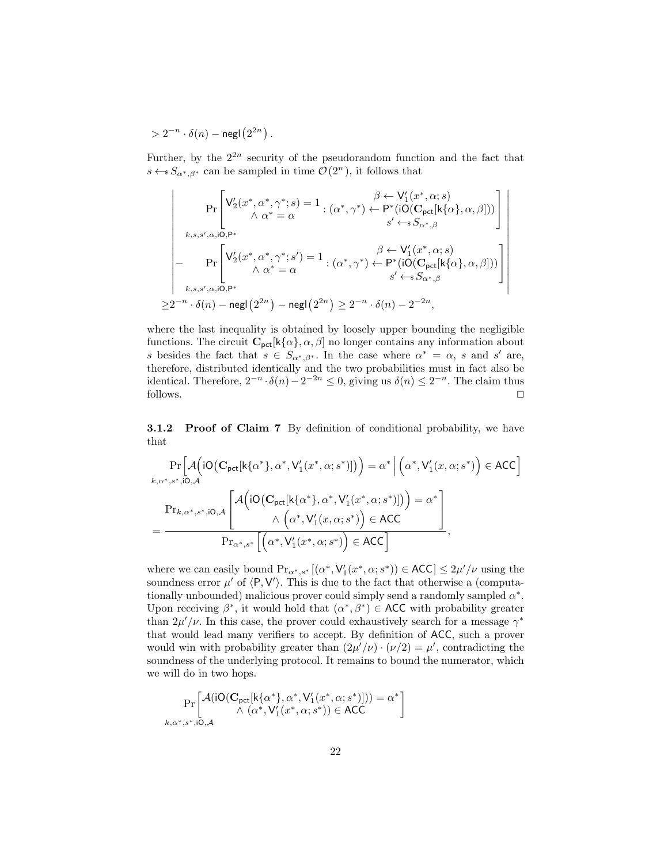$> 2^{-n} \cdot \delta(n) - \text{negl}(2^{2n}).$ 

Further, by the  $2^{2n}$  security of the pseudorandom function and the fact that  $s \leftarrow s S_{\alpha^*, \beta^*}$  can be sampled in time  $\mathcal{O}(2^n)$ , it follows that

$$
\Pr\left[\begin{matrix}\mathsf{V}'_2(x^*,\alpha^*,\gamma^*;s)=1\\ \wedge \alpha^*=\alpha\\ \wedge \alpha^*=\alpha\\ \end{matrix}:\begin{matrix}\beta\leftarrow\mathsf{V}'_1(x^*,\alpha;s)\\ \beta'\leftarrow\mathsf{P}^*({\sf iO}(\mathbf{C}_{\sf pet}[\mathsf{k}\{\alpha\},\alpha,\beta]))\\ \vdots\\ \beta'\leftarrow\mathsf{s}S_{\alpha^*,\beta}\\ \beta'\leftarrow\mathsf{s}S_{\alpha^*,\beta}\\ \end{matrix}\right)\right]\right] \right)\\ \Pr\left[\begin{matrix}\mathsf{V}'_2(x^*,\alpha^*,\gamma^*;s')=1\\ \wedge \alpha^*=\alpha\\ \wedge \alpha^*=\alpha\\ \end{matrix}:\begin{matrix}\beta\leftarrow\mathsf{V}'_1(x^*,\alpha;s)\\ \beta'\leftarrow\mathsf{P}^*({\sf iO}(\mathbf{C}_{\sf pet}[\mathsf{k}\{\alpha\},\alpha,\beta]))\\ \beta'\leftarrow\mathsf{s}S_{\alpha^*,\beta}\\ \beta'\leftarrow\mathsf{s}S_{\alpha^*,\beta}\end{matrix}\right)\right]\right]
$$

where the last inequality is obtained by loosely upper bounding the negligible functions. The circuit  $C_{\text{pct}}[k\{\alpha\}, \alpha, \beta]$  no longer contains any information about s besides the fact that  $s \in S_{\alpha^*,\beta^*}$ . In the case where  $\alpha^* = \alpha$ , s and s' are, therefore, distributed identically and the two probabilities must in fact also be identical. Therefore,  $2^{-n} \cdot \delta(n) - 2^{-2n} \leq 0$ , giving us  $\delta(n) \leq 2^{-n}$ . The claim thus follows.  $\Box$ 

<span id="page-21-0"></span>3.1.2 Proof of [Claim 7](#page-16-2) By definition of conditional probability, we have that

$$
\Pr\left[\mathcal{A}\Big(\textsf{iO}\big(\mathbf{C}_{\textsf{pct}}[\mathsf{k}\{\alpha^*\},\alpha^*,\mathsf{V}_1'(x^*,\alpha;s^*)]\big)\Big) = \alpha^* \Big|\begin{pmatrix} \alpha^*,\mathsf{V}_1'(x,\alpha;s^*)\end{pmatrix} \in \textsf{ACC}\Big] \kappa, \alpha^*, s^*, \textsf{iO}, \mathcal{A} \left[\begin{matrix} \mathcal{A}\Big(\textsf{iO}\big(\mathbf{C}_{\textsf{pct}}[\mathsf{k}\{\alpha^*\},\alpha^*,\mathsf{V}_1'(x^*,\alpha;s^*)]\big)\Big) = \alpha^* \\\hline \lambda\Big(\alpha^*,\mathsf{V}_1'(x,\alpha;s^*)\Big) \in \textsf{ACC} \end{matrix}\right] \n= \frac{\Pr_{\alpha^*,s^*}[\mathsf{O}\big(\alpha^*,\mathsf{V}_1'(x^*,\alpha;s^*)\big) \in \textsf{ACC}\Big)}{\Pr_{\alpha^*,s^*}\Big[\Big(\alpha^*,\mathsf{V}_1'(x^*,\alpha;s^*)\Big) \in \textsf{ACC}\Big]},
$$

where we can easily bound  $Pr_{\alpha^*,s^*}[(\alpha^*,V'_1(x^*,\alpha;s^*)) \in \text{ACC}] \leq 2\mu'/\nu$  using the soundness error  $\mu'$  of  $\langle P, V' \rangle$ . This is due to the fact that otherwise a (computationally unbounded) malicious prover could simply send a randomly sampled  $\alpha^*$ . Upon receiving  $\beta^*$ , it would hold that  $(\alpha^*, \beta^*) \in \text{ACC}$  with probability greater than  $2\mu'/\nu$ . In this case, the prover could exhaustively search for a message  $\gamma^*$ that would lead many verifiers to accept. By definition of ACC, such a prover would win with probability greater than  $(2\mu'/\nu) \cdot (\nu/2) = \mu'$ , contradicting the soundness of the underlying protocol. It remains to bound the numerator, which we will do in two hops.

Pr k,α∗,s∗,iO,A A(iO(Cpct[k{α <sup>∗</sup>}, α<sup>∗</sup> , V 0 1 (x ∗ , α; s ∗ )])) = α ∗ ∧ (α ∗ , V 0 1 (x ∗ , α; s ∗ )) <sup>∈</sup> ACC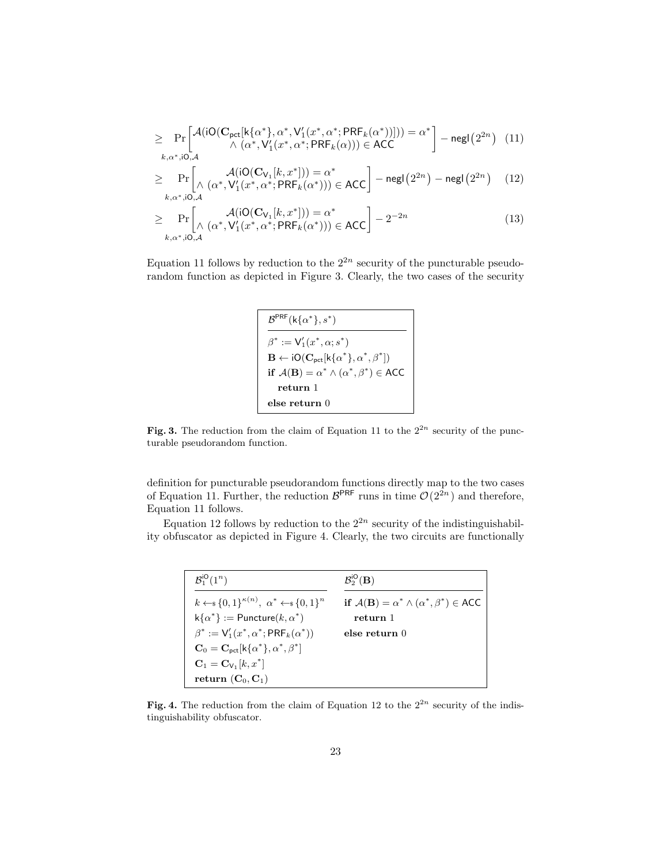$$
\geq \Pr\left[\mathcal{A}(\mathsf{iO}(\mathbf{C}_{\mathsf{pct}}[\mathsf{k}\{\alpha^*\},\alpha^*,\mathsf{V}'_1(x^*,\alpha^*;\mathsf{PRF}_k(\alpha^*))]) = \alpha^*\right] - \mathsf{negl}\left(2^{2n}\right) \tag{11}
$$
  

$$
k, \alpha^*, \mathsf{iO}, \mathcal{A}
$$

$$
\geq \Pr_{k,\alpha^*,{\rm iO},\mathcal{A}} \mathcal{A}({\rm iO}(\mathbf{C}_{\mathsf{V}_1}[k,x^*])) = \alpha^* \atop k,\alpha^*,{\rm iO},\mathcal{A}} \mathcal{A}({\rm iO}(\mathbf{C}_{\mathsf{V}_1}[k,x^*])) \in \text{ACC} \bigg] - {\rm negl}\left(2^{2n}\right) - {\rm negl}\left(2^{2n}\right) \quad (12)
$$

$$
\geq \Pr_{k,\alpha^*,\mathsf{i}\mathsf{O},\mathcal{A}}\mathcal{A}(\mathsf{i}\mathsf{O}(\mathbf{C}_{\mathsf{V}_1}[k,x^*])) = \alpha^* \n_{k,\alpha^*,\mathsf{i}\mathsf{O},\mathcal{A}}\mathcal{A}(\mathsf{i}\mathsf{O}(\mathbf{C}_{\mathsf{V}_1}[k,x^*]) = \alpha^* \n\in \mathsf{ACC}\right] - 2^{-2n}
$$
\n(13)

[Equation 11](#page-22-0) follows by reduction to the  $2^{2n}$  security of the puncturable pseudorandom function as depicted in [Figure 3.](#page-22-1) Clearly, the two cases of the security

<span id="page-22-4"></span><span id="page-22-2"></span><span id="page-22-0"></span>

<span id="page-22-1"></span>Fig. 3. The reduction from the claim of [Equation 11](#page-22-0) to the  $2^{2n}$  security of the puncturable pseudorandom function.

definition for puncturable pseudorandom functions directly map to the two cases of [Equation 11.](#page-22-0) Further, the reduction  $\mathcal{B}^{\text{PRF}}$  runs in time  $\mathcal{O}(2^{2n})$  and therefore, [Equation 11](#page-22-0) follows.

[Equation 12](#page-22-2) follows by reduction to the  $2^{2n}$  security of the indistinguishability obfuscator as depicted in [Figure 4.](#page-22-3) Clearly, the two circuits are functionally

| $\mathcal{B}_1^{(0)}(1^n)$                                                 | $\mathcal{B}_2^{i0}(\mathbf{B})$                                          |
|----------------------------------------------------------------------------|---------------------------------------------------------------------------|
| $k \leftarrow \{0,1\}^{\kappa(n)}, \ \alpha^* \leftarrow \{0,1\}^n$        | if $A(\mathbf{B}) = \alpha^* \wedge (\alpha^*, \beta^*) \in \mathsf{ACC}$ |
| $k\{\alpha^*\} :=$ Puncture $(k,\alpha^*)$                                 | return 1                                                                  |
| $\beta^* := V'_1(x^*, \alpha^*; PRF_k(\alpha^*))$                          | else return 0                                                             |
| $\mathbf{C}_0 = \mathbf{C}_{\text{pct}}[k\{\alpha^*\}, \alpha^*, \beta^*]$ |                                                                           |
| $C_1 = C_{V_1}[k, x^*]$                                                    |                                                                           |
| return $(C_0, C_1)$                                                        |                                                                           |

<span id="page-22-3"></span>Fig. 4. The reduction from the claim of [Equation 12](#page-22-2) to the  $2^{2n}$  security of the indistinguishability obfuscator.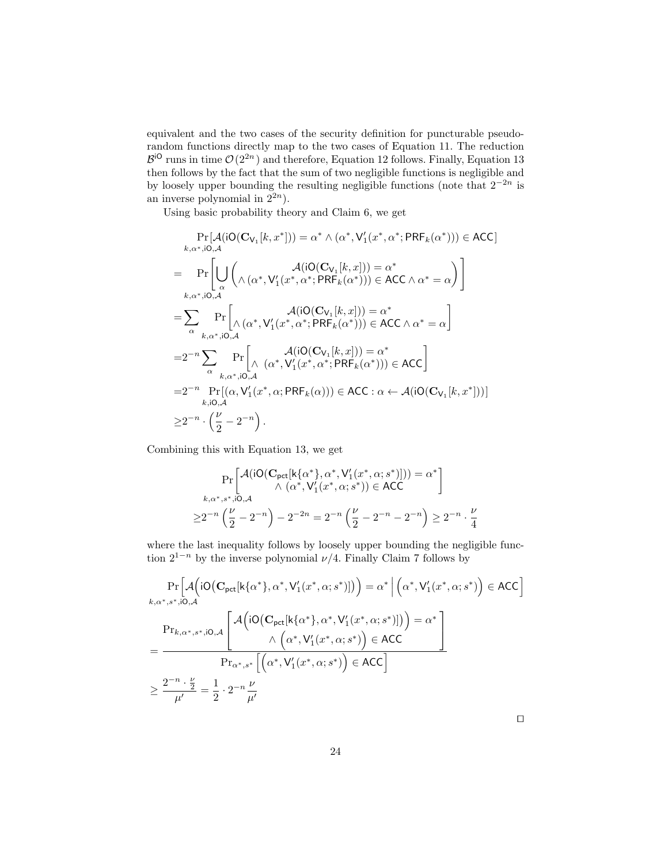equivalent and the two cases of the security definition for puncturable pseudorandom functions directly map to the two cases of [Equation 11.](#page-22-0) The reduction  $\mathcal{B}^{\text{IO}}$  runs in time  $\mathcal{O}(2^{2n})$  and therefore, [Equation 12](#page-22-2) follows. Finally, [Equation 13](#page-22-4) then follows by the fact that the sum of two negligible functions is negligible and by loosely upper bounding the resulting negligible functions (note that  $2^{-2n}$  is an inverse polynomial in  $2^{2n}$ ).

Using basic probability theory and [Claim 6,](#page-16-1) we get

$$
\Pr[\mathcal{A}(i\mathbf{O}(\mathbf{C}_{V_1}[k, x^*])) = \alpha^* \wedge (\alpha^*, V'_1(x^*, \alpha^*; \mathsf{PRF}_k(\alpha^*))) \in \mathsf{ACC}]
$$
\n
$$
= \Pr\left[\bigcup_{\alpha} \left(\bigwedge_{(\alpha^*, V'_1(x^*, \alpha^*) \mathsf{PRF}_k(\alpha^*))) = \alpha^* \right. \right]
$$
\n
$$
= \sum_{k, \alpha^*, i\mathbf{O}, \mathcal{A}} \Pr\left[\bigwedge_{\alpha} (\alpha^*, V'_1(x^*, \alpha^*) \mathsf{PRF}_k(\alpha^*)) \right] \in \mathsf{ACC} \wedge \alpha^* = \alpha\right]
$$
\n
$$
= \sum_{\alpha} \Pr\left[\bigwedge_{k, \alpha^*, i\mathbf{O}, \mathcal{A}} (\alpha^*, V'_1(x^*, \alpha^*) \mathsf{PRF}_k(\alpha^*)) \right] \in \mathsf{ACC} \wedge \alpha^* = \alpha\right]
$$
\n
$$
= 2^{-n} \sum_{\alpha} \Pr\left[\bigwedge_{\alpha, \alpha^*, i\mathbf{O}, \mathcal{A}} (\alpha^*, V'_1(x^*, \alpha^*) \mathsf{PRF}_k(\alpha^*)) \right) \in \mathsf{ACC}\right]
$$
\n
$$
= 2^{-n} \Pr\left[(\alpha, V'_1(x^*, \alpha; \mathsf{PRF}_k(\alpha))) \in \mathsf{ACC}: \alpha \leftarrow \mathcal{A}(i\mathsf{O}(\mathbf{C}_{V_1}[k, x^*]))\right]
$$
\n
$$
= 2^{-n} \cdot \left(\frac{\nu}{2} - 2^{-n}\right).
$$

Combining this with [Equation 13,](#page-22-4) we get

$$
\Pr\left[\begin{matrix} \mathcal{A}(\text{iO}(\mathbf{C}_{\text{pct}}[\mathsf{k}\{\alpha^*\}, \alpha^*, \mathsf{V}_1'(x^*, \alpha; s^*)])) = \alpha^*\\ \wedge (\alpha^*, \mathsf{V}_1'(x^*, \alpha; s^*)) \in \text{ACC} \end{matrix}\right] \n\geq 2^{-n} \left(\frac{\nu}{2} - 2^{-n}\right) - 2^{-2n} = 2^{-n} \left(\frac{\nu}{2} - 2^{-n} - 2^{-n}\right) \geq 2^{-n} \cdot \frac{\nu}{4}
$$

where the last inequality follows by loosely upper bounding the negligible function  $2^{1-n}$  by the inverse polynomial  $\nu/4$ . Finally [Claim 7](#page-16-2) follows by

$$
\Pr\left[\mathcal{A}\left(\text{iO}\left(\mathbf{C}_{\text{pct}}[\mathsf{k}\{\alpha^*\},\alpha^*,\mathsf{V}_1'(x^*,\alpha;s^*)]\right)\right) = \alpha^* \left| \left(\alpha^*,\mathsf{V}_1'(x^*,\alpha;s^*)\right) \in \text{ACC}\right.\right]
$$
\n
$$
\Pr_{k,\alpha^*,s^*,\text{iO},\mathcal{A}}\left[\mathcal{A}\left(\text{iO}\left(\mathbf{C}_{\text{pct}}[\mathsf{k}\{\alpha^*\},\alpha^*,\mathsf{V}_1'(x^*,\alpha;s^*)]\right)\right) = \alpha^*\right]
$$
\n
$$
= \frac{\Pr_{k,\alpha^*,s^*,\text{iO},\mathcal{A}}\left[\mathcal{A}\left(\text{iO}\left(\mathbf{C}_{\text{pct}}[\mathsf{k}\{\alpha^*\},\alpha^*,\mathsf{V}_1'(x^*,\alpha;s^*)]\right)\right) \in \text{ACC}\right]}{\Pr_{\alpha^*,s^*}\left[\left(\alpha^*,\mathsf{V}_1'(x^*,\alpha;s^*)\right) \in \text{ACC}\right]}
$$
\n
$$
\geq \frac{2^{-n} \cdot \frac{\nu}{2}}{\mu'} = \frac{1}{2} \cdot 2^{-n} \frac{\nu}{\mu'}
$$

 $\Box$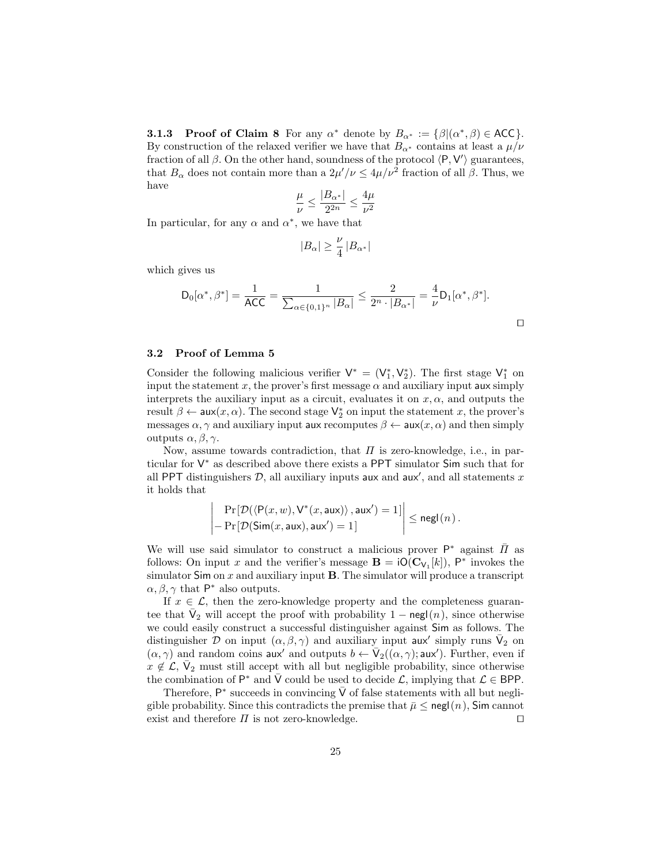**3.1.3** Proof of [Claim 8](#page-18-2) For any  $\alpha^*$  denote by  $B_{\alpha^*} := \{ \beta | (\alpha^*, \beta) \in \text{ACC} \}.$ By construction of the relaxed verifier we have that  $B_{\alpha^*}$  contains at least a  $\mu/\nu$ fraction of all  $\beta$ . On the other hand, soundness of the protocol  $\langle P, V' \rangle$  guarantees, that  $B_{\alpha}$  does not contain more than a  $2\mu'/\nu \leq 4\mu/\nu^2$  fraction of all  $\beta$ . Thus, we have

$$
\frac{\mu}{\nu} \le \frac{|B_{\alpha^*}|}{2^{2n}} \le \frac{4\mu}{\nu^2}
$$

In particular, for any  $\alpha$  and  $\alpha^*$ , we have that

$$
|B_\alpha|\geq \frac{\nu}{4}\,|B_{\alpha^*}|
$$

which gives us

$$
D_0[\alpha^*, \beta^*] = \frac{1}{\mathsf{ACC}} = \frac{1}{\sum_{\alpha \in \{0,1\}^n} |B_{\alpha}|} \le \frac{2}{2^n \cdot |B_{\alpha^*}|} = \frac{4}{\nu} D_1[\alpha^*, \beta^*].
$$

 $\Box$ 

## <span id="page-24-0"></span>3.2 Proof of [Lemma 5](#page-15-2)

Consider the following malicious verifier  $V^* = (V_1^*, V_2^*)$ . The first stage  $V_1^*$  on input the statement x, the prover's first message  $\alpha$  and auxiliary input aux simply interprets the auxiliary input as a circuit, evaluates it on  $x, \alpha$ , and outputs the result  $\beta \leftarrow \text{aux}(x, \alpha)$ . The second stage  $\mathsf{V}_2^*$  on input the statement x, the prover's messages  $\alpha, \gamma$  and auxiliary input aux recomputes  $\beta \leftarrow \text{aux}(x, \alpha)$  and then simply outputs  $\alpha, \beta, \gamma$ .

Now, assume towards contradiction, that  $\Pi$  is zero-knowledge, i.e., in particular for V <sup>∗</sup> as described above there exists a PPT simulator Sim such that for all PPT distinguishers  $D$ , all auxiliary inputs aux and aux', and all statements x it holds that

$$
\begin{aligned} &\left|\Pr[\mathcal{D}(\langle \mathsf{P}(x,w),\mathsf{V}^*(x,\mathsf{aux})\rangle,\mathsf{aux}')=1]\right| \leq \mathsf{negl}(n)\\ &-\Pr[\mathcal{D}(\mathsf{Sim}(x,\mathsf{aux}),\mathsf{aux}')=1] \end{aligned} \leq \mathsf{negl}(n)\,.
$$

We will use said simulator to construct a malicious prover  $P^*$  against  $\bar{\Pi}$  as follows: On input x and the verifier's message  $\mathbf{B} = i\mathsf{O}(\mathbf{C}_{\mathsf{V}_1}[k])$ ,  $\mathsf{P}^*$  invokes the simulator  $\mathsf{Sim}$  on x and auxiliary input  $\mathbf{B}$ . The simulator will produce a transcript  $\alpha, \beta, \gamma$  that P<sup>\*</sup> also outputs.

If  $x \in \mathcal{L}$ , then the zero-knowledge property and the completeness guarantee that  $\bar{V}_2$  will accept the proof with probability 1 – negl(n), since otherwise we could easily construct a successful distinguisher against Sim as follows. The distinguisher  $\mathcal D$  on input  $(\alpha, \beta, \gamma)$  and auxiliary input aux' simply runs  $\bar{V}_2$  on  $(\alpha, \gamma)$  and random coins aux<sup>t</sup> and outputs  $b \leftarrow \overline{V}_2((\alpha, \gamma);$  aux<sup>t</sup>). Further, even if  $x \notin \mathcal{L}, \bar{V}_2$  must still accept with all but negligible probability, since otherwise the combination of  $\mathsf{P}^*$  and  $\bar{\mathsf{V}}$  could be used to decide  $\mathcal{L}$ , implying that  $\mathcal{L} \in \mathsf{BPP}$ .

Therefore,  $\mathsf{P}^*$  succeeds in convincing  $\bar{\mathsf{V}}$  of false statements with all but negligible probability. Since this contradicts the premise that  $\bar{\mu} \leq \text{negl}(n)$ , Sim cannot exist and therefore  $\Pi$  is not zero-knowledge.  $\square$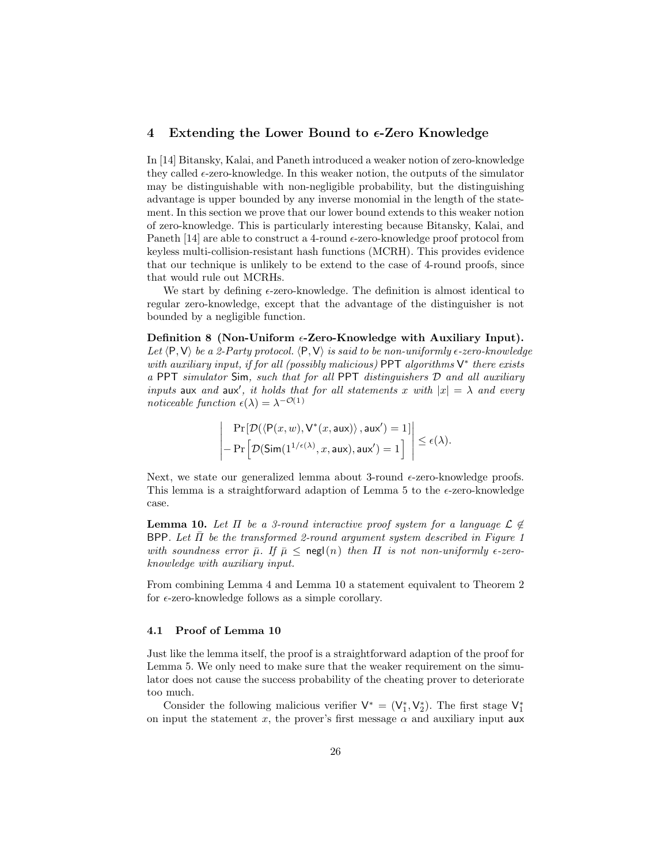# <span id="page-25-1"></span>4 Extending the Lower Bound to  $\epsilon$ -Zero Knowledge

In [\[14\]](#page-27-6) Bitansky, Kalai, and Paneth introduced a weaker notion of zero-knowledge they called  $\epsilon$ -zero-knowledge. In this weaker notion, the outputs of the simulator may be distinguishable with non-negligible probability, but the distinguishing advantage is upper bounded by any inverse monomial in the length of the statement. In this section we prove that our lower bound extends to this weaker notion of zero-knowledge. This is particularly interesting because Bitansky, Kalai, and Paneth [\[14\]](#page-27-6) are able to construct a 4-round  $\epsilon$ -zero-knowledge proof protocol from keyless multi-collision-resistant hash functions (MCRH). This provides evidence that our technique is unlikely to be extend to the case of 4-round proofs, since that would rule out MCRHs.

We start by defining  $\epsilon$ -zero-knowledge. The definition is almost identical to regular zero-knowledge, except that the advantage of the distinguisher is not bounded by a negligible function.

Definition 8 (Non-Uniform  $\epsilon$ -Zero-Knowledge with Auxiliary Input). Let  $\langle P, V \rangle$  be a 2-Party protocol.  $\langle P, V \rangle$  is said to be non-uniformly  $\epsilon$ -zero-knowledge with auxiliary input, if for all (possibly malicious)  $PPT$  algorithms  $V^*$  there exists a PPT simulator Sim, such that for all PPT distinguishers D and all auxiliary inputs aux and aux', it holds that for all statements x with  $|x| = \lambda$  and every noticeable function  $\epsilon(\lambda) = \lambda^{-\mathcal{O}(1)}$ 

$$
\left| \begin{aligned} &\Pr[\mathcal{D}(\langle \mathsf{P}(x,w),\mathsf{V}^*(x,\mathsf{aux})\rangle,\mathsf{aux}')=1] \\ &-\Pr\left[\mathcal{D}(\mathsf{Sim}(1^{1/\epsilon(\lambda)},x,\mathsf{aux}),\mathsf{aux}')=1\right]\end{aligned} \right| \leq \epsilon(\lambda).
$$

<span id="page-25-0"></span>Next, we state our generalized lemma about 3-round  $\epsilon$ -zero-knowledge proofs. This lemma is a straightforward adaption of [Lemma 5](#page-15-2) to the  $\epsilon$ -zero-knowledge case.

**Lemma 10.** Let  $\Pi$  be a 3-round interactive proof system for a language  $\mathcal{L} \notin$ BPP. Let  $\Pi$  be the transformed 2-round argument system described in [Figure 1](#page-14-0) with soundness error  $\bar{\mu}$ . If  $\bar{\mu} \leq$  negl(n) then  $\Pi$  is not non-uniformly  $\epsilon$ -zeroknowledge with auxiliary input.

From combining [Lemma 4](#page-15-0) and [Lemma 10](#page-25-0) a statement equivalent to [Theorem 2](#page-13-1) for  $\epsilon$ -zero-knowledge follows as a simple corollary.

#### 4.1 Proof of [Lemma 10](#page-25-0)

Just like the lemma itself, the proof is a straightforward adaption of the proof for [Lemma 5.](#page-15-2) We only need to make sure that the weaker requirement on the simulator does not cause the success probability of the cheating prover to deteriorate too much.

Consider the following malicious verifier  $V^* = (V_1^*, V_2^*)$ . The first stage  $V_1^*$ on input the statement x, the prover's first message  $\alpha$  and auxiliary input aux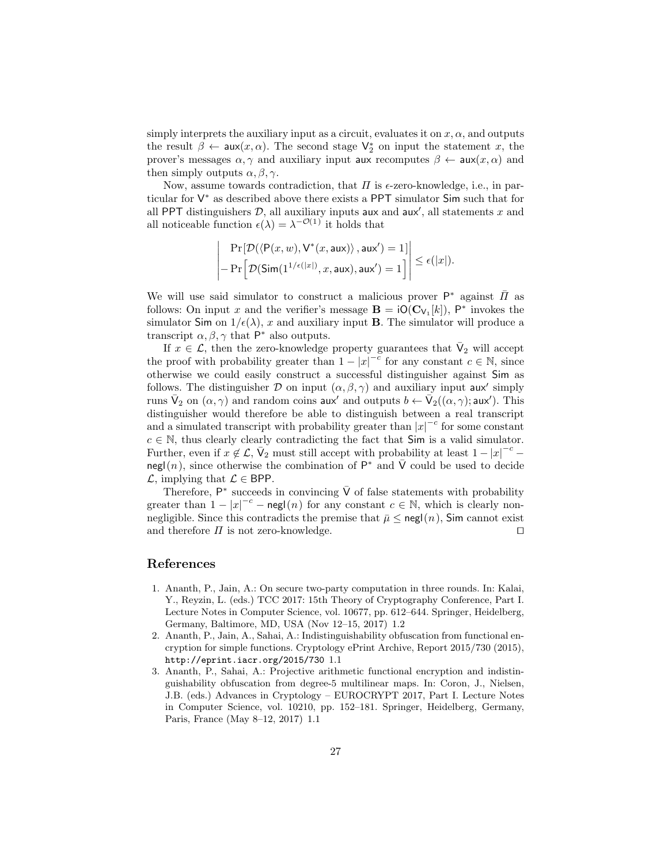simply interprets the auxiliary input as a circuit, evaluates it on  $x, \alpha$ , and outputs the result  $\beta \leftarrow \text{aux}(x, \alpha)$ . The second stage  $\mathsf{V}_2^*$  on input the statement x, the prover's messages  $\alpha, \gamma$  and auxiliary input aux recomputes  $\beta \leftarrow \text{aux}(x, \alpha)$  and then simply outputs  $\alpha, \beta, \gamma$ .

Now, assume towards contradiction, that  $\Pi$  is  $\epsilon$ -zero-knowledge, i.e., in particular for V <sup>∗</sup> as described above there exists a PPT simulator Sim such that for all PPT distinguishers  $D$ , all auxiliary inputs aux and aux', all statements x and all noticeable function  $\epsilon(\lambda) = \lambda^{-\mathcal{O}(1)}$  it holds that

$$
\left|\frac{\Pr[\mathcal{D}(\langle P(x,w),V^*(x,aux)\rangle,aux')=1]}{\Pr[\mathcal{D}(\text{Sim}(1^{1/\epsilon(|x|)}, x, aux),aux')=1]}\right| \leq \epsilon(|x|).
$$

We will use said simulator to construct a malicious prover  $P^*$  against  $\bar{\Pi}$  as follows: On input x and the verifier's message  $\mathbf{B} = i\mathsf{O}(\mathbf{C}_{\mathsf{V}_1}[k])$ ,  $\mathsf{P}^*$  invokes the simulator Sim on  $1/\epsilon(\lambda)$ , x and auxiliary input **B**. The simulator will produce a transcript  $\alpha, \beta, \gamma$  that P<sup>\*</sup> also outputs.

If  $x \in \mathcal{L}$ , then the zero-knowledge property guarantees that  $\bar{V}_2$  will accept the proof with probability greater than  $1 - |x|^{-c}$  for any constant  $c \in \mathbb{N}$ , since otherwise we could easily construct a successful distinguisher against Sim as follows. The distinguisher  $\mathcal D$  on input  $(\alpha, \beta, \gamma)$  and auxiliary input aux' simply runs  $\bar{V}_2$  on  $(\alpha, \gamma)$  and random coins aux' and outputs  $b \leftarrow \bar{V}_2((\alpha, \gamma);$  aux'). This distinguisher would therefore be able to distinguish between a real transcript and a simulated transcript with probability greater than  $|x|^{-c}$  for some constant  $c \in \mathbb{N}$ , thus clearly clearly contradicting the fact that Sim is a valid simulator. Further, even if  $x \notin \mathcal{L}$ ,  $\bar{V}_2$  must still accept with probability at least  $1 - |x|^{-c}$ negl(n), since otherwise the combination of  $\mathsf{P}^*$  and  $\bar{\mathsf{V}}$  could be used to decide  $\mathcal{L}$ , implying that  $\mathcal{L} \in \text{BPP}$ .

Therefore,  $\mathsf{P}^*$  succeeds in convincing  $\bar{\mathsf{V}}$  of false statements with probability greater than  $1-|x|^{-c}$  – negl(n) for any constant  $c \in \mathbb{N}$ , which is clearly nonnegligible. Since this contradicts the premise that  $\bar{\mu} \leq \text{negl}(n)$ , Sim cannot exist and therefore  $\Pi$  is not zero-knowledge.  $\Box$ 

# References

- <span id="page-26-2"></span>1. Ananth, P., Jain, A.: On secure two-party computation in three rounds. In: Kalai, Y., Reyzin, L. (eds.) TCC 2017: 15th Theory of Cryptography Conference, Part I. Lecture Notes in Computer Science, vol. 10677, pp. 612–644. Springer, Heidelberg, Germany, Baltimore, MD, USA (Nov 12–15, 2017) [1.2](#page-3-1)
- <span id="page-26-0"></span>2. Ananth, P., Jain, A., Sahai, A.: Indistinguishability obfuscation from functional encryption for simple functions. Cryptology ePrint Archive, Report 2015/730 (2015), <http://eprint.iacr.org/2015/730> [1.1](#page-1-0)
- <span id="page-26-1"></span>3. Ananth, P., Sahai, A.: Projective arithmetic functional encryption and indistinguishability obfuscation from degree-5 multilinear maps. In: Coron, J., Nielsen, J.B. (eds.) Advances in Cryptology – EUROCRYPT 2017, Part I. Lecture Notes in Computer Science, vol. 10210, pp. 152–181. Springer, Heidelberg, Germany, Paris, France (May 8–12, 2017) [1.1](#page-1-0)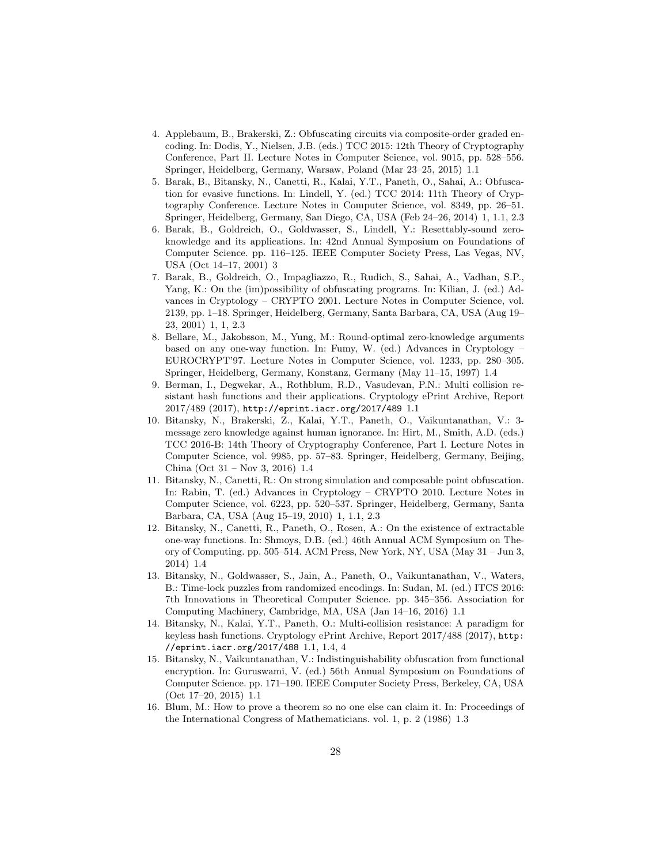- <span id="page-27-3"></span>4. Applebaum, B., Brakerski, Z.: Obfuscating circuits via composite-order graded encoding. In: Dodis, Y., Nielsen, J.B. (eds.) TCC 2015: 12th Theory of Cryptography Conference, Part II. Lecture Notes in Computer Science, vol. 9015, pp. 528–556. Springer, Heidelberg, Germany, Warsaw, Poland (Mar 23–25, 2015) [1.1](#page-1-0)
- <span id="page-27-1"></span>5. Barak, B., Bitansky, N., Canetti, R., Kalai, Y.T., Paneth, O., Sahai, A.: Obfuscation for evasive functions. In: Lindell, Y. (ed.) TCC 2014: 11th Theory of Cryptography Conference. Lecture Notes in Computer Science, vol. 8349, pp. 26–51. Springer, Heidelberg, Germany, San Diego, CA, USA (Feb 24–26, 2014) [1,](#page-1-0) [1.1,](#page-1-0) [2.3](#page-12-1)
- <span id="page-27-8"></span>6. Barak, B., Goldreich, O., Goldwasser, S., Lindell, Y.: Resettably-sound zeroknowledge and its applications. In: 42nd Annual Symposium on Foundations of Computer Science. pp. 116–125. IEEE Computer Society Press, Las Vegas, NV, USA (Oct 14–17, 2001) [3](#page-3-0)
- <span id="page-27-0"></span>7. Barak, B., Goldreich, O., Impagliazzo, R., Rudich, S., Sahai, A., Vadhan, S.P., Yang, K.: On the (im)possibility of obfuscating programs. In: Kilian, J. (ed.) Advances in Cryptology – CRYPTO 2001. Lecture Notes in Computer Science, vol. 2139, pp. 1–18. Springer, Heidelberg, Germany, Santa Barbara, CA, USA (Aug 19– 23, 2001) [1,](#page-0-0) [1,](#page-1-0) [2.3](#page-12-2)
- <span id="page-27-10"></span>8. Bellare, M., Jakobsson, M., Yung, M.: Round-optimal zero-knowledge arguments based on any one-way function. In: Fumy, W. (ed.) Advances in Cryptology – EUROCRYPT'97. Lecture Notes in Computer Science, vol. 1233, pp. 280–305. Springer, Heidelberg, Germany, Konstanz, Germany (May 11–15, 1997) [1.4](#page-9-1)
- <span id="page-27-7"></span>9. Berman, I., Degwekar, A., Rothblum, R.D., Vasudevan, P.N.: Multi collision resistant hash functions and their applications. Cryptology ePrint Archive, Report 2017/489 (2017), <http://eprint.iacr.org/2017/489> [1.1](#page-1-0)
- <span id="page-27-11"></span>10. Bitansky, N., Brakerski, Z., Kalai, Y.T., Paneth, O., Vaikuntanathan, V.: 3 message zero knowledge against human ignorance. In: Hirt, M., Smith, A.D. (eds.) TCC 2016-B: 14th Theory of Cryptography Conference, Part I. Lecture Notes in Computer Science, vol. 9985, pp. 57–83. Springer, Heidelberg, Germany, Beijing, China (Oct 31 – Nov 3, 2016) [1.4](#page-9-1)
- <span id="page-27-2"></span>11. Bitansky, N., Canetti, R.: On strong simulation and composable point obfuscation. In: Rabin, T. (ed.) Advances in Cryptology – CRYPTO 2010. Lecture Notes in Computer Science, vol. 6223, pp. 520–537. Springer, Heidelberg, Germany, Santa Barbara, CA, USA (Aug 15–19, 2010) [1,](#page-1-0) [1.1,](#page-1-0) [2.3](#page-13-2)
- <span id="page-27-12"></span>12. Bitansky, N., Canetti, R., Paneth, O., Rosen, A.: On the existence of extractable one-way functions. In: Shmoys, D.B. (ed.) 46th Annual ACM Symposium on Theory of Computing. pp. 505–514. ACM Press, New York, NY, USA (May 31 – Jun 3, 2014) [1.4](#page-9-1)
- <span id="page-27-5"></span>13. Bitansky, N., Goldwasser, S., Jain, A., Paneth, O., Vaikuntanathan, V., Waters, B.: Time-lock puzzles from randomized encodings. In: Sudan, M. (ed.) ITCS 2016: 7th Innovations in Theoretical Computer Science. pp. 345–356. Association for Computing Machinery, Cambridge, MA, USA (Jan 14–16, 2016) [1.1](#page-1-0)
- <span id="page-27-6"></span>14. Bitansky, N., Kalai, Y.T., Paneth, O.: Multi-collision resistance: A paradigm for keyless hash functions. Cryptology ePrint Archive, Report 2017/488 (2017), [http:](http://eprint.iacr.org/2017/488) [//eprint.iacr.org/2017/488](http://eprint.iacr.org/2017/488) [1.1,](#page-1-0) [1.4,](#page-9-1) [4](#page-25-1)
- <span id="page-27-4"></span>15. Bitansky, N., Vaikuntanathan, V.: Indistinguishability obfuscation from functional encryption. In: Guruswami, V. (ed.) 56th Annual Symposium on Foundations of Computer Science. pp. 171–190. IEEE Computer Society Press, Berkeley, CA, USA (Oct 17–20, 2015) [1.1](#page-1-0)
- <span id="page-27-9"></span>16. Blum, M.: How to prove a theorem so no one else can claim it. In: Proceedings of the International Congress of Mathematicians. vol. 1, p. 2 (1986) [1.3](#page-7-0)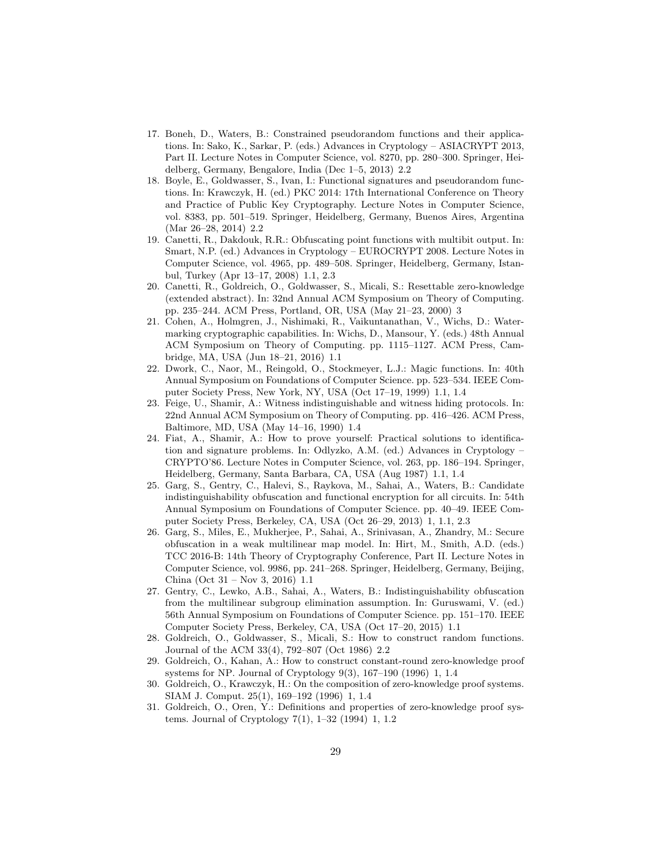- <span id="page-28-12"></span>17. Boneh, D., Waters, B.: Constrained pseudorandom functions and their applications. In: Sako, K., Sarkar, P. (eds.) Advances in Cryptology – ASIACRYPT 2013, Part II. Lecture Notes in Computer Science, vol. 8270, pp. 280–300. Springer, Heidelberg, Germany, Bengalore, India (Dec 1–5, 2013) [2.2](#page-11-0)
- <span id="page-28-13"></span>18. Boyle, E., Goldwasser, S., Ivan, I.: Functional signatures and pseudorandom functions. In: Krawczyk, H. (ed.) PKC 2014: 17th International Conference on Theory and Practice of Public Key Cryptography. Lecture Notes in Computer Science, vol. 8383, pp. 501–519. Springer, Heidelberg, Germany, Buenos Aires, Argentina (Mar 26–28, 2014) [2.2](#page-11-0)
- <span id="page-28-9"></span>19. Canetti, R., Dakdouk, R.R.: Obfuscating point functions with multibit output. In: Smart, N.P. (ed.) Advances in Cryptology – EUROCRYPT 2008. Lecture Notes in Computer Science, vol. 4965, pp. 489–508. Springer, Heidelberg, Germany, Istanbul, Turkey (Apr 13–17, 2008) [1.1,](#page-1-0) [2.3](#page-13-2)
- <span id="page-28-10"></span>20. Canetti, R., Goldreich, O., Goldwasser, S., Micali, S.: Resettable zero-knowledge (extended abstract). In: 32nd Annual ACM Symposium on Theory of Computing. pp. 235–244. ACM Press, Portland, OR, USA (May 21–23, 2000) [3](#page-3-0)
- <span id="page-28-8"></span>21. Cohen, A., Holmgren, J., Nishimaki, R., Vaikuntanathan, V., Wichs, D.: Watermarking cryptographic capabilities. In: Wichs, D., Mansour, Y. (eds.) 48th Annual ACM Symposium on Theory of Computing. pp. 1115–1127. ACM Press, Cambridge, MA, USA (Jun 18–21, 2016) [1.1](#page-1-0)
- <span id="page-28-5"></span>22. Dwork, C., Naor, M., Reingold, O., Stockmeyer, L.J.: Magic functions. In: 40th Annual Symposium on Foundations of Computer Science. pp. 523–534. IEEE Computer Society Press, New York, NY, USA (Oct 17–19, 1999) [1.1,](#page-1-0) [1.4](#page-9-1)
- <span id="page-28-11"></span>23. Feige, U., Shamir, A.: Witness indistinguishable and witness hiding protocols. In: 22nd Annual ACM Symposium on Theory of Computing. pp. 416–426. ACM Press, Baltimore, MD, USA (May 14–16, 1990) [1.4](#page-9-1)
- <span id="page-28-4"></span>24. Fiat, A., Shamir, A.: How to prove yourself: Practical solutions to identification and signature problems. In: Odlyzko, A.M. (ed.) Advances in Cryptology – CRYPTO'86. Lecture Notes in Computer Science, vol. 263, pp. 186–194. Springer, Heidelberg, Germany, Santa Barbara, CA, USA (Aug 1987) [1.1,](#page-1-0) [1.4](#page-9-1)
- <span id="page-28-3"></span>25. Garg, S., Gentry, C., Halevi, S., Raykova, M., Sahai, A., Waters, B.: Candidate indistinguishability obfuscation and functional encryption for all circuits. In: 54th Annual Symposium on Foundations of Computer Science. pp. 40–49. IEEE Computer Society Press, Berkeley, CA, USA (Oct 26–29, 2013) [1,](#page-1-0) [1.1,](#page-1-0) [2.3](#page-12-2)
- <span id="page-28-7"></span>26. Garg, S., Miles, E., Mukherjee, P., Sahai, A., Srinivasan, A., Zhandry, M.: Secure obfuscation in a weak multilinear map model. In: Hirt, M., Smith, A.D. (eds.) TCC 2016-B: 14th Theory of Cryptography Conference, Part II. Lecture Notes in Computer Science, vol. 9986, pp. 241–268. Springer, Heidelberg, Germany, Beijing, China (Oct 31 – Nov 3, 2016) [1.1](#page-1-0)
- <span id="page-28-6"></span>27. Gentry, C., Lewko, A.B., Sahai, A., Waters, B.: Indistinguishability obfuscation from the multilinear subgroup elimination assumption. In: Guruswami, V. (ed.) 56th Annual Symposium on Foundations of Computer Science. pp. 151–170. IEEE Computer Society Press, Berkeley, CA, USA (Oct 17–20, 2015) [1.1](#page-1-0)
- <span id="page-28-14"></span>28. Goldreich, O., Goldwasser, S., Micali, S.: How to construct random functions. Journal of the ACM 33(4), 792–807 (Oct 1986) [2.2](#page-11-1)
- <span id="page-28-0"></span>29. Goldreich, O., Kahan, A.: How to construct constant-round zero-knowledge proof systems for NP. Journal of Cryptology 9(3), 167–190 (1996) [1,](#page-0-0) [1.4](#page-9-1)
- <span id="page-28-2"></span>30. Goldreich, O., Krawczyk, H.: On the composition of zero-knowledge proof systems. SIAM J. Comput. 25(1), 169–192 (1996) [1,](#page-0-0) [1.4](#page-9-1)
- <span id="page-28-1"></span>31. Goldreich, O., Oren, Y.: Definitions and properties of zero-knowledge proof systems. Journal of Cryptology 7(1), 1–32 (1994) [1,](#page-0-0) [1.2](#page-3-1)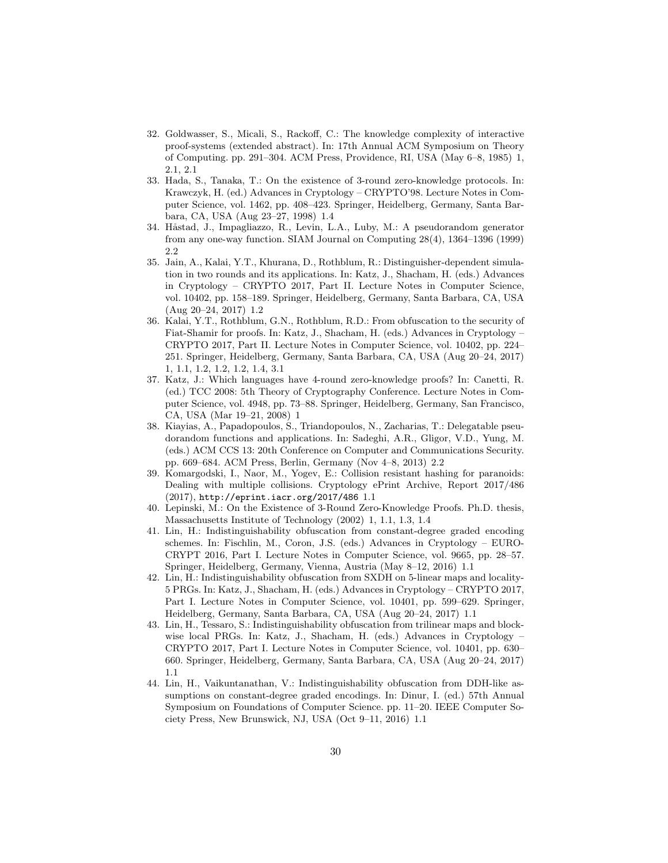- <span id="page-29-0"></span>32. Goldwasser, S., Micali, S., Rackoff, C.: The knowledge complexity of interactive proof-systems (extended abstract). In: 17th Annual ACM Symposium on Theory of Computing. pp. 291–304. ACM Press, Providence, RI, USA (May 6–8, 1985) [1,](#page-0-0) [2.1,](#page-10-0) [2.1](#page-10-1)
- <span id="page-29-10"></span>33. Hada, S., Tanaka, T.: On the existence of 3-round zero-knowledge protocols. In: Krawczyk, H. (ed.) Advances in Cryptology – CRYPTO'98. Lecture Notes in Computer Science, vol. 1462, pp. 408–423. Springer, Heidelberg, Germany, Santa Barbara, CA, USA (Aug 23–27, 1998) [1.4](#page-9-1)
- <span id="page-29-12"></span>34. Håstad, J., Impagliazzo, R., Levin, L.A., Luby, M.: A pseudorandom generator from any one-way function. SIAM Journal on Computing 28(4), 1364–1396 (1999) [2.2](#page-11-1)
- <span id="page-29-9"></span>35. Jain, A., Kalai, Y.T., Khurana, D., Rothblum, R.: Distinguisher-dependent simulation in two rounds and its applications. In: Katz, J., Shacham, H. (eds.) Advances in Cryptology – CRYPTO 2017, Part II. Lecture Notes in Computer Science, vol. 10402, pp. 158–189. Springer, Heidelberg, Germany, Santa Barbara, CA, USA (Aug 20–24, 2017) [1.2](#page-3-1)
- <span id="page-29-2"></span>36. Kalai, Y.T., Rothblum, G.N., Rothblum, R.D.: From obfuscation to the security of Fiat-Shamir for proofs. In: Katz, J., Shacham, H. (eds.) Advances in Cryptology – CRYPTO 2017, Part II. Lecture Notes in Computer Science, vol. 10402, pp. 224– 251. Springer, Heidelberg, Germany, Santa Barbara, CA, USA (Aug 20–24, 2017) [1,](#page-0-0) [1.1,](#page-1-0) [1.2,](#page-3-1) [1.2,](#page-4-1) [1.2,](#page-5-0) [1.4,](#page-9-1) [3.1](#page-18-1)
- <span id="page-29-1"></span>37. Katz, J.: Which languages have 4-round zero-knowledge proofs? In: Canetti, R. (ed.) TCC 2008: 5th Theory of Cryptography Conference. Lecture Notes in Computer Science, vol. 4948, pp. 73–88. Springer, Heidelberg, Germany, San Francisco, CA, USA (Mar 19–21, 2008) [1](#page-0-0)
- <span id="page-29-11"></span>38. Kiayias, A., Papadopoulos, S., Triandopoulos, N., Zacharias, T.: Delegatable pseudorandom functions and applications. In: Sadeghi, A.R., Gligor, V.D., Yung, M. (eds.) ACM CCS 13: 20th Conference on Computer and Communications Security. pp. 669–684. ACM Press, Berlin, Germany (Nov 4–8, 2013) [2.2](#page-11-0)
- <span id="page-29-8"></span>39. Komargodski, I., Naor, M., Yogev, E.: Collision resistant hashing for paranoids: Dealing with multiple collisions. Cryptology ePrint Archive, Report 2017/486 (2017), <http://eprint.iacr.org/2017/486> [1.1](#page-1-0)
- <span id="page-29-3"></span>40. Lepinski, M.: On the Existence of 3-Round Zero-Knowledge Proofs. Ph.D. thesis, Massachusetts Institute of Technology (2002) [1,](#page-0-0) [1.1,](#page-1-0) [1.3,](#page-7-0) [1.4](#page-9-1)
- <span id="page-29-4"></span>41. Lin, H.: Indistinguishability obfuscation from constant-degree graded encoding schemes. In: Fischlin, M., Coron, J.S. (eds.) Advances in Cryptology – EURO-CRYPT 2016, Part I. Lecture Notes in Computer Science, vol. 9665, pp. 28–57. Springer, Heidelberg, Germany, Vienna, Austria (May 8–12, 2016) [1.1](#page-1-0)
- <span id="page-29-6"></span>42. Lin, H.: Indistinguishability obfuscation from SXDH on 5-linear maps and locality-5 PRGs. In: Katz, J., Shacham, H. (eds.) Advances in Cryptology – CRYPTO 2017, Part I. Lecture Notes in Computer Science, vol. 10401, pp. 599–629. Springer, Heidelberg, Germany, Santa Barbara, CA, USA (Aug 20–24, 2017) [1.1](#page-1-0)
- <span id="page-29-7"></span>43. Lin, H., Tessaro, S.: Indistinguishability obfuscation from trilinear maps and blockwise local PRGs. In: Katz, J., Shacham, H. (eds.) Advances in Cryptology – CRYPTO 2017, Part I. Lecture Notes in Computer Science, vol. 10401, pp. 630– 660. Springer, Heidelberg, Germany, Santa Barbara, CA, USA (Aug 20–24, 2017) [1.1](#page-1-0)
- <span id="page-29-5"></span>44. Lin, H., Vaikuntanathan, V.: Indistinguishability obfuscation from DDH-like assumptions on constant-degree graded encodings. In: Dinur, I. (ed.) 57th Annual Symposium on Foundations of Computer Science. pp. 11–20. IEEE Computer Society Press, New Brunswick, NJ, USA (Oct 9–11, 2016) [1.1](#page-1-0)